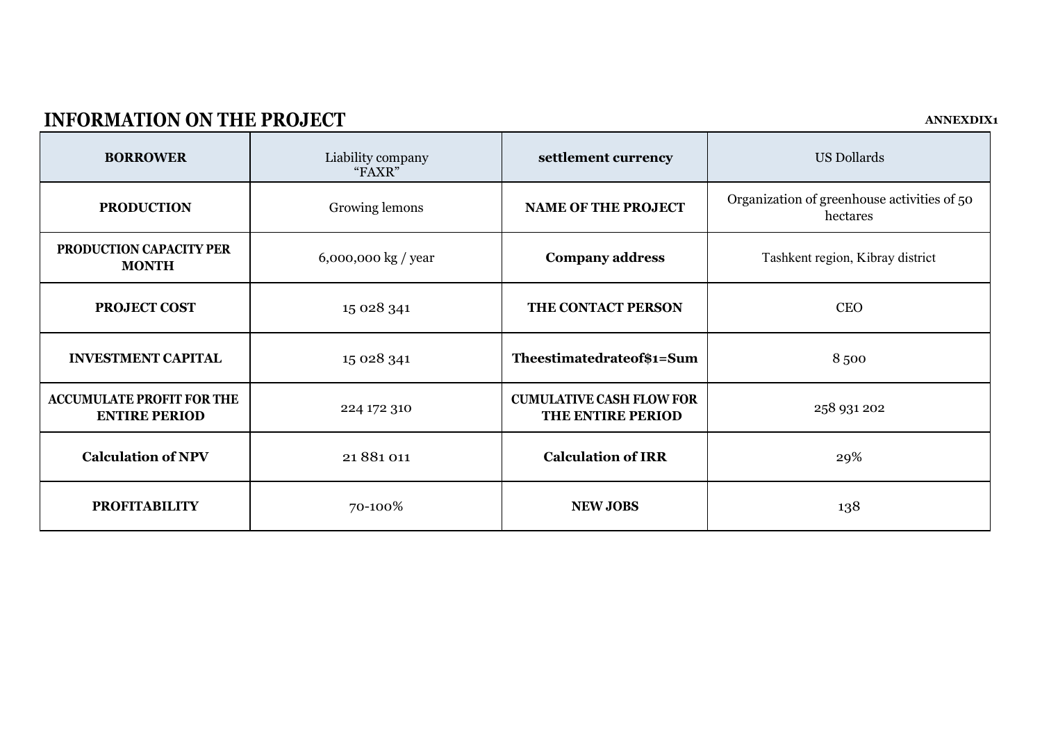# **INFORMATION ON THE PROJECT ANNEXDIX1**

| <b>BORROWER</b>                                          | Liability company<br>"FAXR" | settlement currency                                  | <b>US Dollards</b>                                      |
|----------------------------------------------------------|-----------------------------|------------------------------------------------------|---------------------------------------------------------|
| <b>PRODUCTION</b>                                        | Growing lemons              | <b>NAME OF THE PROJECT</b>                           | Organization of greenhouse activities of 50<br>hectares |
| PRODUCTION CAPACITY PER<br><b>MONTH</b>                  | $6,000,000$ kg / year       | <b>Company address</b>                               | Tashkent region, Kibray district                        |
| PROJECT COST                                             | 15 028 341                  | THE CONTACT PERSON                                   | <b>CEO</b>                                              |
| <b>INVESTMENT CAPITAL</b>                                | 15 028 341                  | Theestimatedrateof\$1=Sum                            | 8500                                                    |
| <b>ACCUMULATE PROFIT FOR THE</b><br><b>ENTIRE PERIOD</b> | 224 172 310                 | <b>CUMULATIVE CASH FLOW FOR</b><br>THE ENTIRE PERIOD | 258 931 202                                             |
| <b>Calculation of NPV</b>                                | 21 881 011                  | <b>Calculation of IRR</b>                            | 29%                                                     |
| <b>PROFITABILITY</b>                                     | 70-100%                     | <b>NEW JOBS</b>                                      | 138                                                     |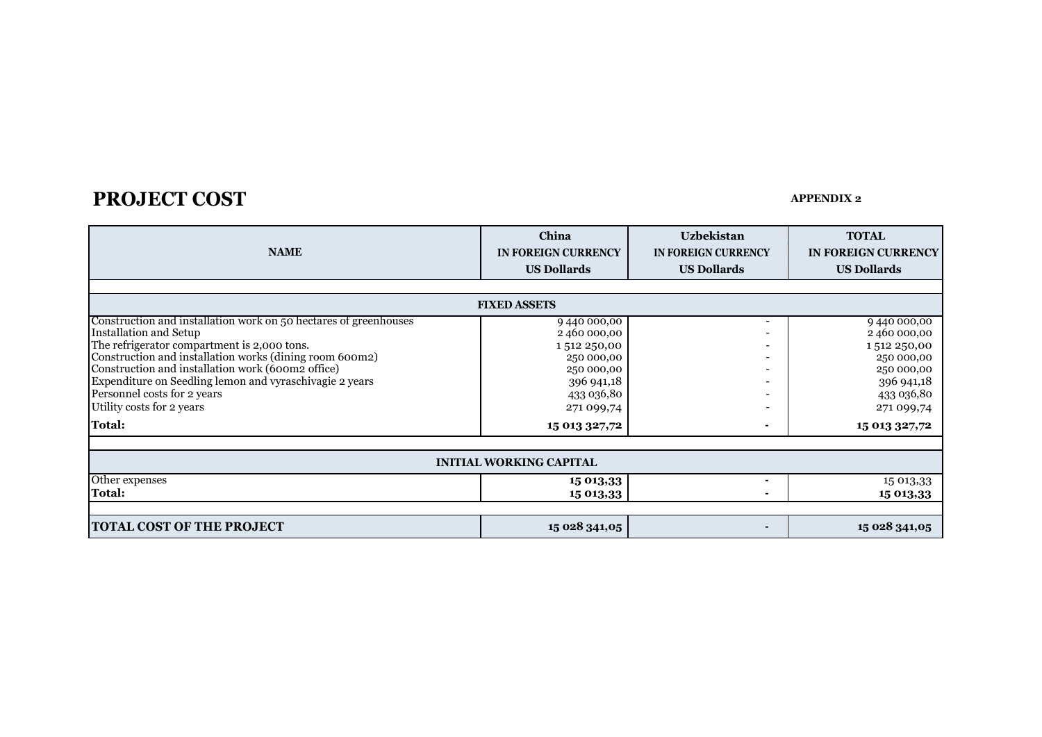# **PROJECT COST APPENDIX 2**

| <b>NAME</b>                                                                                                                                                                                                                                                                                                                                                                      | China<br><b>IN FOREIGN CURRENCY</b><br><b>US Dollards</b>                                                    | <b>Uzbekistan</b><br>IN FOREIGN CURRENCY<br><b>US Dollards</b> | <b>TOTAL</b><br>IN FOREIGN CURRENCY<br><b>US Dollards</b>                                                     |
|----------------------------------------------------------------------------------------------------------------------------------------------------------------------------------------------------------------------------------------------------------------------------------------------------------------------------------------------------------------------------------|--------------------------------------------------------------------------------------------------------------|----------------------------------------------------------------|---------------------------------------------------------------------------------------------------------------|
|                                                                                                                                                                                                                                                                                                                                                                                  | <b>FIXED ASSETS</b>                                                                                          |                                                                |                                                                                                               |
| Construction and installation work on 50 hectares of greenhouses<br>Installation and Setup<br>The refrigerator compartment is 2,000 tons.<br>Construction and installation works (dining room 600m2)<br>Construction and installation work (600m2 office)<br>Expenditure on Seedling lemon and vyraschivagie 2 years<br>Personnel costs for 2 years<br>Utility costs for 2 years | 9440000,00<br>2460000,00<br>1512250,00<br>250 000,00<br>250 000,00<br>396 941,18<br>433 036,80<br>271 099,74 | $\blacksquare$                                                 | 9440000,00<br>2460000,00<br>1512 250,00<br>250 000,00<br>250 000,00<br>396 941,18<br>433 036,80<br>271 099,74 |
| <b>Total:</b>                                                                                                                                                                                                                                                                                                                                                                    | 15 013 327,72                                                                                                |                                                                | 15 013 327,72                                                                                                 |
|                                                                                                                                                                                                                                                                                                                                                                                  | <b>INITIAL WORKING CAPITAL</b>                                                                               |                                                                |                                                                                                               |
| Other expenses<br><b>Total:</b>                                                                                                                                                                                                                                                                                                                                                  | 15 013,33<br>15 013,33                                                                                       |                                                                | 15 013,33<br>15 013,33                                                                                        |
| <b>TOTAL COST OF THE PROJECT</b>                                                                                                                                                                                                                                                                                                                                                 | 15 028 341,05                                                                                                |                                                                | 15 028 341,05                                                                                                 |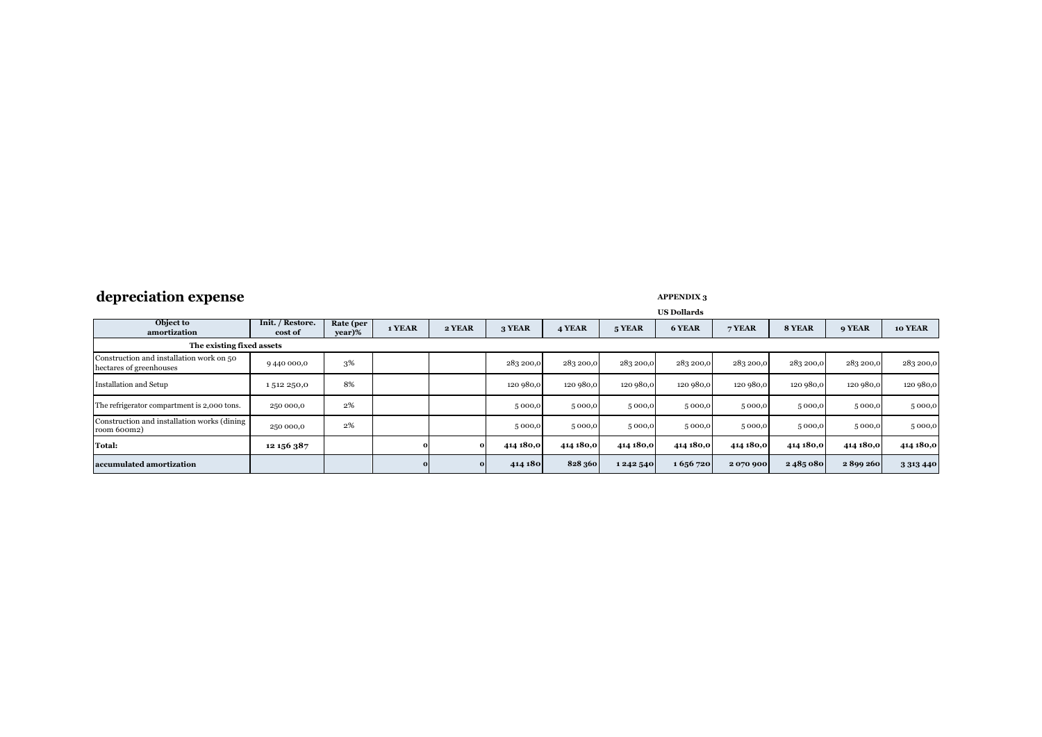# **depreciation expense APPENDIX 3**

|                                                                     |                             | <b>US Dollards</b>  |        |            |           |           |           |           |           |           |           |               |
|---------------------------------------------------------------------|-----------------------------|---------------------|--------|------------|-----------|-----------|-----------|-----------|-----------|-----------|-----------|---------------|
| Object to<br>amortization                                           | Init. / Restore.<br>cost of | Rate (per<br>year)% | 1 YEAR | 2 YEAR     | 3 YEAR    | 4 YEAR    | 5 YEAR    | 6 YEAR    | 7 YEAR    | 8 YEAR    | 9 YEAR    | 10 YEAR       |
| The existing fixed assets                                           |                             |                     |        |            |           |           |           |           |           |           |           |               |
| Construction and installation work on 50<br>hectares of greenhouses | 9440 000,0                  | 3%                  |        |            | 283 200,0 | 283 200,0 | 283 200,0 | 283 200,0 | 283 200,0 | 283 200,0 | 283 200,0 | 283 200,0     |
| Installation and Setup                                              | 1512250,0                   | 8%                  |        |            | 120 980,0 | 120 980,0 | 120 980,0 | 120 980,0 | 120 980,0 | 120 980,0 | 120 980,0 | 120 980,0     |
| The refrigerator compartment is 2,000 tons.                         | 250 000,0                   | 2%                  |        |            | 5000,0    | 5000,0    | 5000,0    | 5 000,0   | 5 000,0   | 5000,0    | 5000,0    | 5 000,0       |
| Construction and installation works (dining<br>room 600m2)          | 250 000,0                   | 2%                  |        |            | 5000,0    | 5000,0    | 5000,0    | 5 000,0   | 5 000,0   | 5000,0    | 5000,0    | 5 000,0       |
| <b>Total:</b>                                                       | 12 156 387                  |                     |        | $^{\circ}$ | 414 180,0 | 414 180,0 | 414 180,0 | 414 180,0 | 414 180,0 | 414 180,0 | 414 180,0 | 414 180,0     |
| accumulated amortization                                            |                             |                     |        | $\Omega$   | 414 180   | 828 360   | 1242540   | 1656720   | 2070900   | 2485080   | 2899260   | 3 3 1 3 4 4 0 |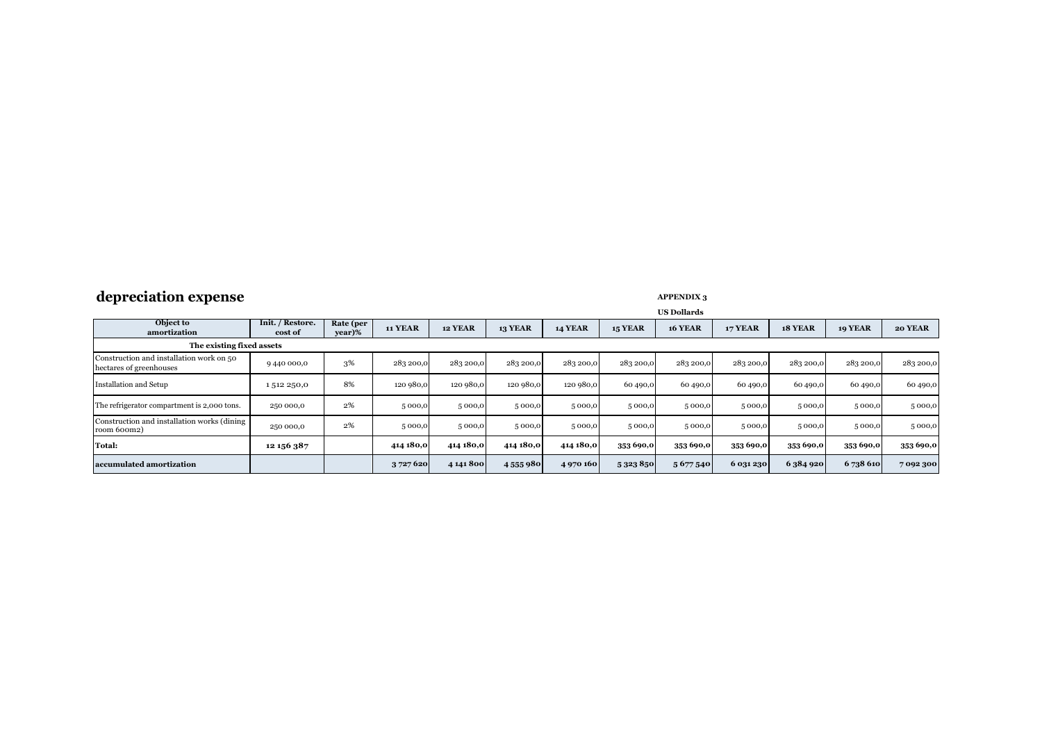# **depreciation expense APPENDIX 3**

|                                                                     |                             | <b>US Dollards</b>  |                |                |                |                |                |                |                |           |                |           |
|---------------------------------------------------------------------|-----------------------------|---------------------|----------------|----------------|----------------|----------------|----------------|----------------|----------------|-----------|----------------|-----------|
| Object to<br>amortization                                           | Init. / Restore.<br>cost of | Rate (per<br>year)% | <b>11 YEAR</b> | <b>12 YEAR</b> | <b>13 YEAR</b> | <b>14 YEAR</b> | <b>15 YEAR</b> | <b>16 YEAR</b> | <b>17 YEAR</b> | 18 YEAR   | <b>19 YEAR</b> | 20 YEAR   |
| The existing fixed assets                                           |                             |                     |                |                |                |                |                |                |                |           |                |           |
| Construction and installation work on 50<br>hectares of greenhouses | 9440 000,0                  | 3%                  | 283 200,0      | 283 200,0      | 283 200,0      | 283 200,0      | 283 200,0      | 283 200,0      | 283 200,0      | 283 200,0 | 283 200,0      | 283 200,0 |
| Installation and Setup                                              | 1512250,0                   | 8%                  | 120 980,0      | 120 980,0      | 120 980,0      | 120 980,0      | 60 490,0       | 60 490,0       | 60 490,0       | 60 490,0  | 60 490,0       | 60 490,0  |
| The refrigerator compartment is 2,000 tons.                         | 250 000,0                   | 2%                  | 5000,0         | 5000,0         | 5000,0         | 5000,0         | 5 000,0        | 5 000,0        | 5 000,0        | 5000,0    | 5000,0         | 5000,0    |
| Construction and installation works (dining)<br>room 600m2)         | 250 000,0                   | 2%                  | 5 000,0        | 5 000,0        | 5000,0         | 5000,0         | 5000,0         | 5 000,0        | 5 000,0        | 5000,0    | 5000,0         | 5 000,0   |
| Total:                                                              | 12 156 387                  |                     | 414 180,0      | 414 180,0      | 414 180,0      | 414 180,0      | 353 690,0      | 353 690,0      | 353 690,0      | 353 690,0 | 353 690,0      | 353 690,0 |
| accumulated amortization                                            |                             |                     | 3 727 620      | 4 141 800      | 4555980        | 4970160        | 5323850        | 5 677 540      | 6 031 230      | 6 384 920 | 6738 610       | 7092300   |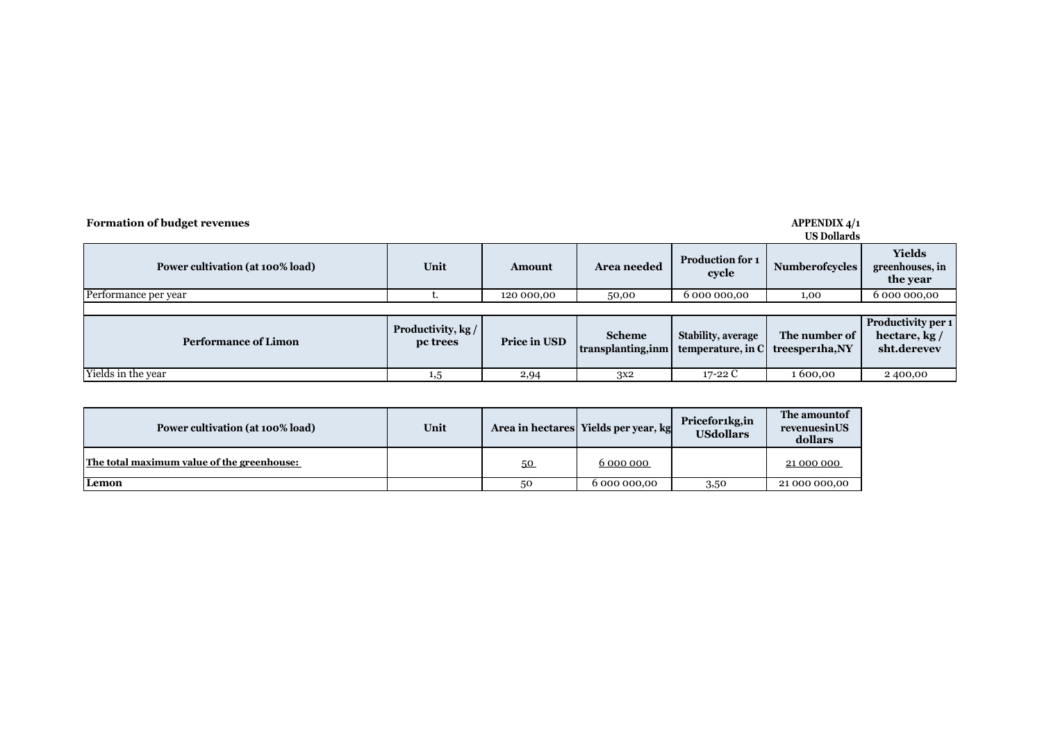| <b>Formation of budget revenues</b><br><b>APPENDIX 4/1</b><br><b>US Dollards</b> |                                |              |                                     |                                                           |                                  |                                                     |  |  |  |  |
|----------------------------------------------------------------------------------|--------------------------------|--------------|-------------------------------------|-----------------------------------------------------------|----------------------------------|-----------------------------------------------------|--|--|--|--|
| Power cultivation (at 100% load)                                                 | Unit                           | Amount       | <b>Area needed</b>                  | <b>Production for 1</b><br><b>Numberofcycles</b><br>cycle |                                  | <b>Yields</b><br>greenhouses, in<br>the year        |  |  |  |  |
| Performance per year                                                             |                                | 120 000,00   | 50,00                               | 6 000 000,00                                              | 1,00                             | 6 000 000,00                                        |  |  |  |  |
|                                                                                  |                                |              |                                     |                                                           |                                  |                                                     |  |  |  |  |
| <b>Performance of Limon</b>                                                      | Productivity, kg /<br>pc trees | Price in USD | <b>Scheme</b><br>transplanting, inm | <b>Stability, average</b><br>temperature, in C            | The number of<br>treesperiha, NY | Productivity per 1<br>hectare, $kg/$<br>sht.derevev |  |  |  |  |
| Yields in the year                                                               | 1,5                            | 2,94         | 3x2                                 | 17-22 $C$                                                 | 1600.00                          | 2400,00                                             |  |  |  |  |

| Power cultivation (at 100% load)           | Unit |    | Area in hectares Yields per year, kg | Pricefor1kg,in<br><b>USdollars</b> | The amount of<br>revenuesinUS<br>dollars |
|--------------------------------------------|------|----|--------------------------------------|------------------------------------|------------------------------------------|
| The total maximum value of the greenhouse: |      | 50 | 6 000 000                            |                                    | 21 000 000                               |
| Lemon                                      |      | 50 | 6 000 000,00                         | 3,50                               | 21 000 000,00                            |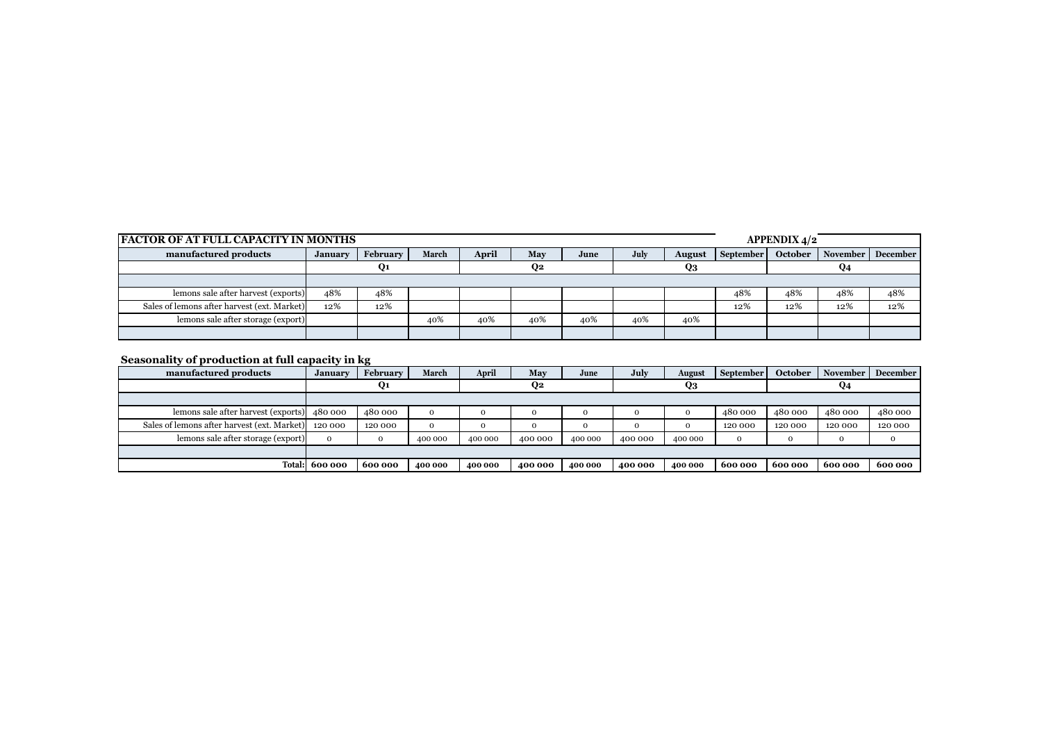| <b>FACTOR OF AT FULL CAPACITY IN MONTHS</b> |                |                |       |       |     |      | <b>APPENDIX 4/2</b> |               |           |         |                 |                 |
|---------------------------------------------|----------------|----------------|-------|-------|-----|------|---------------------|---------------|-----------|---------|-----------------|-----------------|
| manufactured products                       | <b>January</b> | February       | March | April | May | June | July                | <b>August</b> | September | October | <b>November</b> | <b>December</b> |
|                                             |                | Q <sub>1</sub> |       |       | O2  |      |                     | Q3            |           |         | Q4              |                 |
|                                             |                |                |       |       |     |      |                     |               |           |         |                 |                 |
| lemons sale after harvest (exports)         | 48%            | 48%            |       |       |     |      |                     |               | 48%       | 48%     | 48%             | 48%             |
| Sales of lemons after harvest (ext. Market) | 12%            | 12%            |       |       |     |      |                     |               | 12%       | 12%     | 12%             | 12%             |
| lemons sale after storage (export)          |                |                | 40%   | 40%   | 40% | 40%  | 40%                 | 40%           |           |         |                 |                 |
|                                             |                |                |       |       |     |      |                     |               |           |         |                 |                 |

### **Seasonality of production at full capacity in kg**

| manufactured products                       | January      | February | March        | April   | May     | June    | July     | August  | September   | October | <b>November</b> | <b>December</b> |
|---------------------------------------------|--------------|----------|--------------|---------|---------|---------|----------|---------|-------------|---------|-----------------|-----------------|
|                                             |              | Q1       |              |         | Q2      |         |          | Q3      |             |         |                 |                 |
|                                             |              |          |              |         |         |         |          |         |             |         |                 |                 |
| lemons sale after harvest (exports) 480 000 |              | 480 000  | $\mathbf{O}$ |         |         |         | $\Omega$ |         | 480 000     | 480 000 | 480 000         | 480 000         |
| Sales of lemons after harvest (ext. Market) | 120 000      | 120 000  | $\Omega$     |         |         |         | $\Omega$ |         | 120 000     | 120 000 | 120 000         | 120 000         |
| lemons sale after storage (export)          | $\mathbf{O}$ | 0        | 400 000      | 400 000 | 400 000 | 400 000 | 400 000  | 400 000 | $\mathbf 0$ |         | $\Omega$        | $\Omega$        |
|                                             |              |          |              |         |         |         |          |         |             |         |                 |                 |
| <b>Total:</b>                               | 600 000      | 600 000  | 400 000      | 400 000 | 400 000 | 400 000 | 400 000  | 400 000 | 600 000     | 600 000 | 600 000         | 600 000         |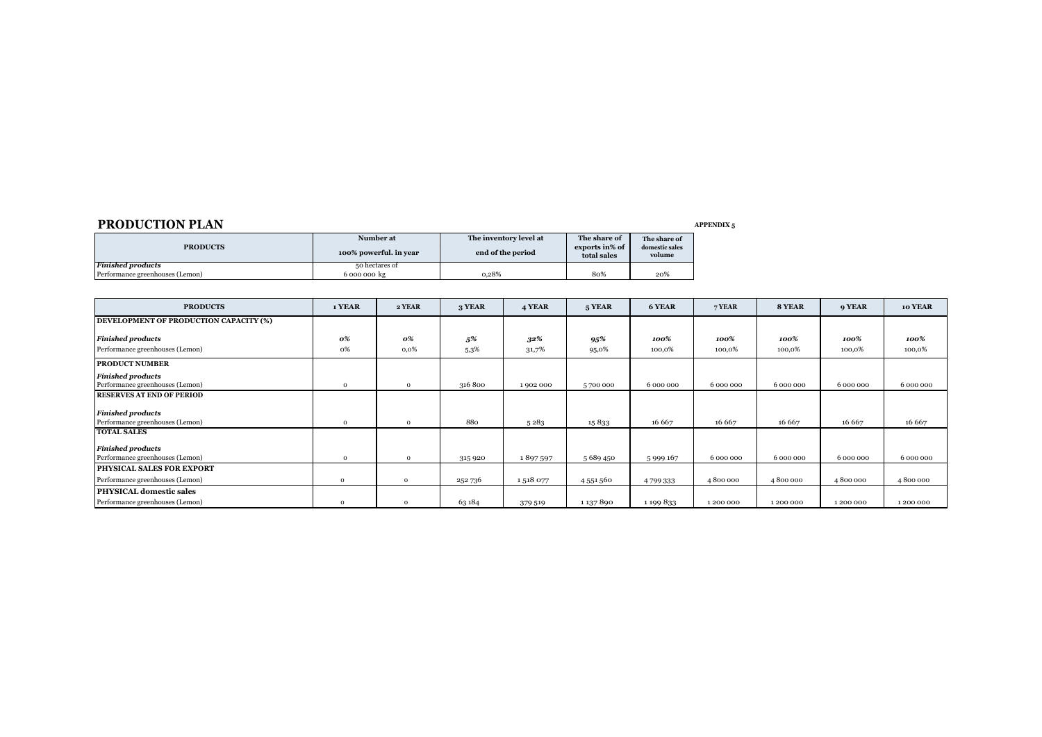### **PRODUCTION PLAN** *APPENDIX 5*

| <b>PRODUCTS</b>                 | Number at<br>100% powerful, in year | The inventory level at<br>end of the period | The share of<br>exports in% of<br>total sales | The share of<br>domestic sales<br>volume |
|---------------------------------|-------------------------------------|---------------------------------------------|-----------------------------------------------|------------------------------------------|
| <b>Finished products</b>        | 50 hectares of                      |                                             |                                               |                                          |
| Performance greenhouses (Lemon) | 6 000 000 kg                        | 0.28%                                       | 80%                                           | 20%                                      |

| <b>PRODUCTS</b>                        | 1 YEAR       | 2 YEAR       | 3 YEAR  | 4 YEAR  | 5 YEAR    | 6 YEAR    | 7 YEAR    | 8 YEAR    | 9 YEAR    | 10 YEAR   |
|----------------------------------------|--------------|--------------|---------|---------|-----------|-----------|-----------|-----------|-----------|-----------|
| DEVELOPMENT OF PRODUCTION CAPACITY (%) |              |              |         |         |           |           |           |           |           |           |
| <b>Finished products</b>               | 0%           | 0%           | 5%      | 32%     | 95%       | 100%      | 100%      | 100%      | 100%      | 100%      |
| Performance greenhouses (Lemon)        | 0%           | 0,0%         | 5,3%    | 31,7%   | 95,0%     | 100,0%    | 100,0%    | 100,0%    | 100,0%    | 100,0%    |
| <b>PRODUCT NUMBER</b>                  |              |              |         |         |           |           |           |           |           |           |
| <b>Finished products</b>               |              |              |         |         |           |           |           |           |           |           |
| Performance greenhouses (Lemon)        | $\mathbf{O}$ | $\Omega$     | 316 800 | 1902000 | 5700000   | 6 000 000 | 6 000 000 | 6 000 000 | 6 000 000 | 6 000 000 |
| <b>RESERVES AT END OF PERIOD</b>       |              |              |         |         |           |           |           |           |           |           |
| <b>Finished products</b>               |              |              |         |         |           |           |           |           |           |           |
| Performance greenhouses (Lemon)        | $\Omega$     | $\Omega$     | 880     | 5283    | 15833     | 16 667    | 16 667    | 16 667    | 16 667    | 16 667    |
| <b>TOTAL SALES</b>                     |              |              |         |         |           |           |           |           |           |           |
| <b>Finished products</b>               |              |              |         |         |           |           |           |           |           |           |
| Performance greenhouses (Lemon)        | $\mathbf{O}$ | $\Omega$     | 315 920 | 1897597 | 5 689 450 | 5999167   | 6 000 000 | 6 000 000 | 6 000 000 | 6 000 000 |
| <b>PHYSICAL SALES FOR EXPORT</b>       |              |              |         |         |           |           |           |           |           |           |
| Performance greenhouses (Lemon)        | $\Omega$     | $\Omega$     | 252 736 | 1518077 | 4 551 560 | 4799333   | 4800000   | 4800000   | 4800000   | 4800000   |
| <b>PHYSICAL domestic sales</b>         |              |              |         |         |           |           |           |           |           |           |
| Performance greenhouses (Lemon)        | $\Omega$     | $\mathbf{O}$ | 63 184  | 379 519 | 1 137 890 | 1 199 833 | 1 200 000 | 1 200 000 | 1200000   | 1200000   |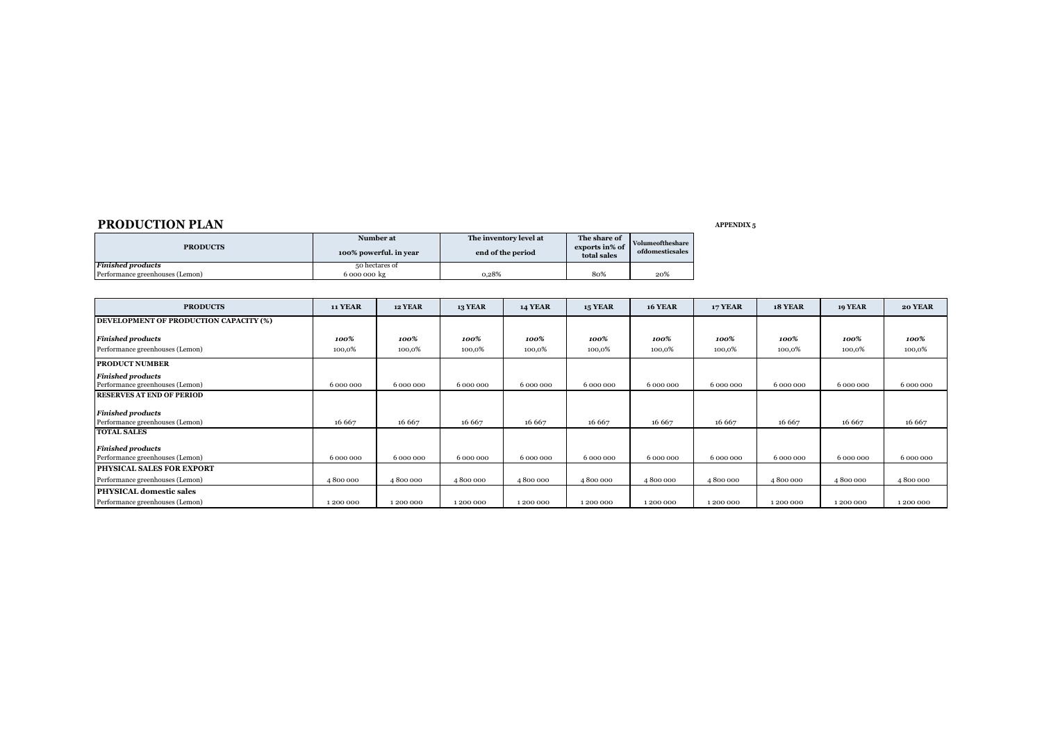### **PRODUCTION PLAN** *APPENDIX 5*

| <b>PRODUCTS</b>                 | Number at<br>100% powerful. in year | The inventory level at<br>end of the period | The share of<br>exports in% of<br>total sales | Volumeoftheshare<br>ofdomesticsales |
|---------------------------------|-------------------------------------|---------------------------------------------|-----------------------------------------------|-------------------------------------|
| <b>Finished products</b>        | 50 hectares of                      |                                             |                                               |                                     |
| Performance greenhouses (Lemon) | 6 000 000 kg                        | 0.28%                                       | 80%                                           | 20%                                 |

| <b>PRODUCTS</b>                        | <b>11 YEAR</b> | <b>12 YEAR</b> | 13 YEAR   | <b>14 YEAR</b> | <b>15 YEAR</b> | <b>16 YEAR</b> | <b>17 YEAR</b> | <b>18 YEAR</b> | <b>19 YEAR</b> | <b>20 YEAR</b> |
|----------------------------------------|----------------|----------------|-----------|----------------|----------------|----------------|----------------|----------------|----------------|----------------|
| DEVELOPMENT OF PRODUCTION CAPACITY (%) |                |                |           |                |                |                |                |                |                |                |
| <b>Finished products</b>               | 100%           | 100%           | 100%      | 100%           | 100%           | 100%           | 100%           | 100%           | 100%           | 100%           |
| Performance greenhouses (Lemon)        | 100,0%         | 100,0%         | 100,0%    | 100,0%         | 100,0%         | 100,0%         | 100,0%         | 100,0%         | 100,0%         | 100,0%         |
| <b>PRODUCT NUMBER</b>                  |                |                |           |                |                |                |                |                |                |                |
| <b>Finished products</b>               |                |                |           |                |                |                |                |                |                |                |
| Performance greenhouses (Lemon)        | 6 000 000      | 6 000 000      | 6 000 000 | 6 000 000      | 6 000 000      | 6 000 000      | 6 000 000      | 6 000 000      | 6 000 000      | 6 000 000      |
| <b>RESERVES AT END OF PERIOD</b>       |                |                |           |                |                |                |                |                |                |                |
| <b>Finished products</b>               |                |                |           |                |                |                |                |                |                |                |
| Performance greenhouses (Lemon)        | 16 667         | 16 667         | 16 667    | 16 667         | 16 667         | 16 667         | 16 667         | 16 667         | 16 667         | 16 667         |
| <b>TOTAL SALES</b>                     |                |                |           |                |                |                |                |                |                |                |
| <b>Finished products</b>               |                |                |           |                |                |                |                |                |                |                |
| Performance greenhouses (Lemon)        | 6 000 000      | 6 000 000      | 6 000 000 | 6 000 000      | 6 000 000      | 6 000 000      | 6 000 000      | 6 000 000      | 6 000 000      | 6 000 000      |
| <b>PHYSICAL SALES FOR EXPORT</b>       |                |                |           |                |                |                |                |                |                |                |
| Performance greenhouses (Lemon)        | 4800000        | 4800000        | 4800000   | 4800000        | 4800000        | 4800000        | 4800000        | 4800000        | 4800000        | 4800000        |
| <b>PHYSICAL domestic sales</b>         |                |                |           |                |                |                |                |                |                |                |
| Performance greenhouses (Lemon)        | 1 200 000      | 1 200 000      | 1 200 000 | 1 200 000      | 1 200 000      | 1 200 000      | 1 200 000      | 1200000        | 1 200 000      | 1200000        |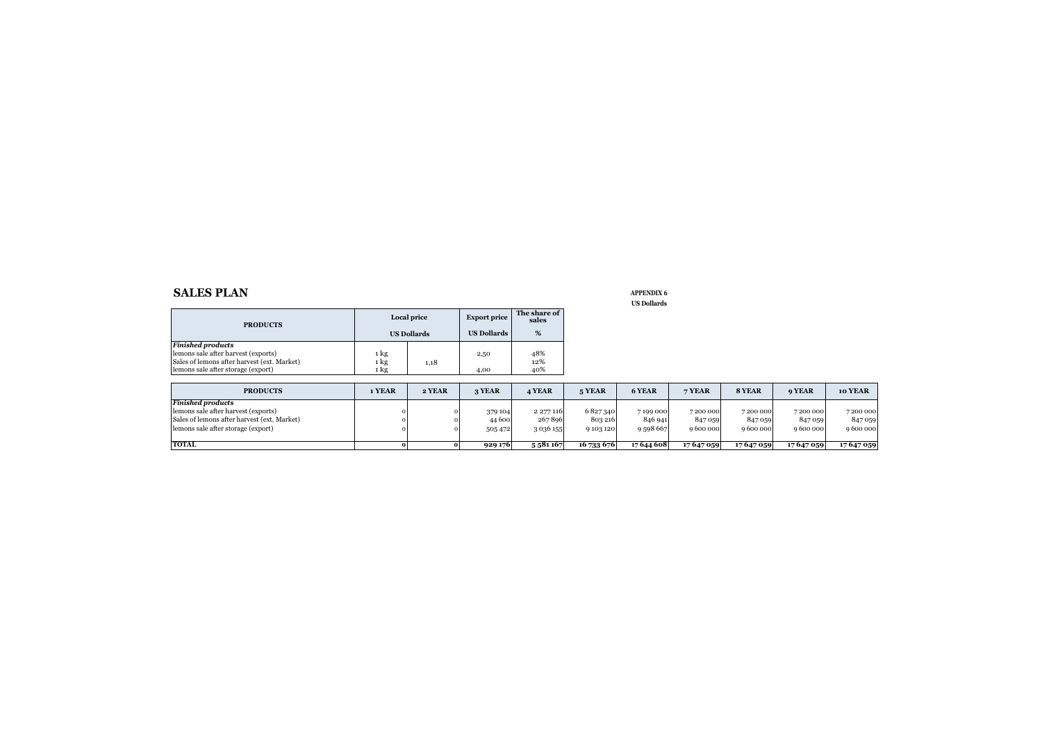#### **SALES PLAN APPENDIX 6**

| <b>PRODUCTS</b>                             |      | Local price        | <b>Export price</b> | The share of<br>sales |
|---------------------------------------------|------|--------------------|---------------------|-----------------------|
|                                             |      | <b>US Dollards</b> | <b>US Dollards</b>  | %                     |
| <b>Finished products</b>                    |      |                    |                     |                       |
| lemons sale after harvest (exports)         | 1 kg |                    | 2,50                | 48%                   |
| Sales of lemons after harvest (ext. Market) | 1 kg | 1,18               |                     | 12%                   |
| lemons sale after storage (export)          | 1 kg |                    | 4,00                | 40%                   |

| <b>PRODUCTS</b>                             | 1 YEAR | 2 YEAR | 3 YEAR  | <b>4 YEAR</b> | 5 YEAR     | 6 YEAR     | 7 YEAR     | 8 YEAR   | <b>9 YEAR</b> | 10 YEAR  |
|---------------------------------------------|--------|--------|---------|---------------|------------|------------|------------|----------|---------------|----------|
| <b>Finished products</b>                    |        |        |         |               |            |            |            |          |               |          |
| lemons sale after harvest (exports)         |        |        | 379 104 | 2 277 116     | 6827340    | 7199000    | 7200000    | 7200000  | 7200000       | 7200000  |
| Sales of lemons after harvest (ext. Market) |        |        | 44 600  | 267896        | 803 216    | 846 941    | 847 059    | 847 059  | 847 059       | 847 059  |
| lemons sale after storage (export)          |        |        | 505 472 | 3 0 3 6 1 5 5 | 9103120    | 9598667    | 9 600 000  | 9600000  | 9600000       | 9600000  |
|                                             |        |        |         |               |            |            |            |          |               |          |
| TOTAL                                       |        |        | 929 176 | 5 581 167     | 16 733 676 | 17 644 608 | 17 647 059 | 17647059 | 17 647 059    | 17647059 |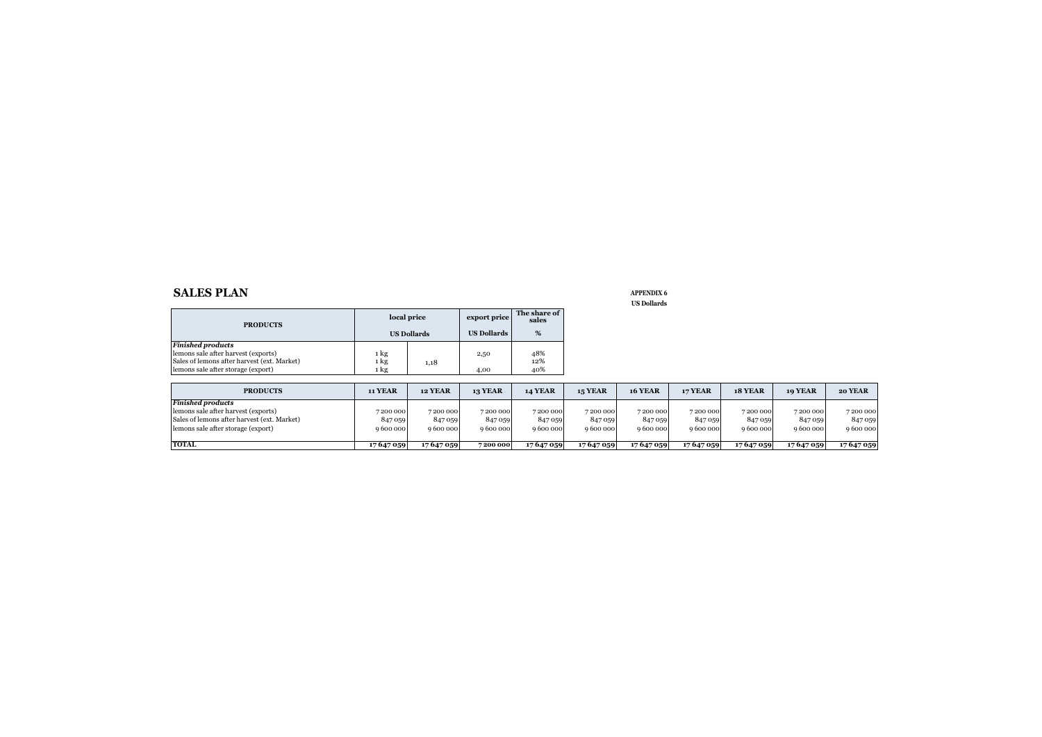#### **SALES PLAN APPENDIX 6**

| <b>PRODUCTS</b>                                                                                                |              | local price        | export price       | The share of<br>sales |
|----------------------------------------------------------------------------------------------------------------|--------------|--------------------|--------------------|-----------------------|
|                                                                                                                |              | <b>US Dollards</b> | <b>US Dollards</b> | %                     |
| <b>Finished products</b><br>lemons sale after harvest (exports)<br>Sales of lemons after harvest (ext. Market) | 1 kg<br>1 kg | 1,18               | 2,50               | 48%<br>12%            |
| lemons sale after storage (export)                                                                             | 1 kg         |                    | 4,00               | 40%                   |

| <b>PRODUCTS</b>                                                                                                                                      | 11 YEAR                       | <b>12 YEAR</b>                  | <b>13 YEAR</b>                  | <b>14 YEAR</b>                  | <b>15 YEAR</b>                  | <b>16 YEAR</b>                  | <b>17 YEAR</b>                  | <b>18 YEAR</b>                  | 10 YEAR                         | 20 YEAR                       |
|------------------------------------------------------------------------------------------------------------------------------------------------------|-------------------------------|---------------------------------|---------------------------------|---------------------------------|---------------------------------|---------------------------------|---------------------------------|---------------------------------|---------------------------------|-------------------------------|
| <b>Finished products</b><br>lemons sale after harvest (exports)<br>Sales of lemons after harvest (ext. Market)<br>lemons sale after storage (export) | 7200000<br>847 059<br>9600000 | 7200000<br>847 059<br>9 600 000 | 7200000<br>847 059<br>9 600 000 | 7200000<br>847 059<br>9 600 000 | 7200000<br>847 059<br>9 600 000 | 7200000<br>847 059<br>9 600 000 | 7200000<br>847 059<br>9 600 000 | 7200000<br>847 059<br>9 600 000 | 7200000<br>847 059<br>9 600 000 | 7200000<br>847 059<br>9600000 |
| <b>TOTAL</b>                                                                                                                                         | 17 647 059                    | 17647059                        | 7200 000                        | 17647059                        | 17 647 059                      | 17647059                        | 17647059                        | 17647059                        | 17647059                        | 17647059                      |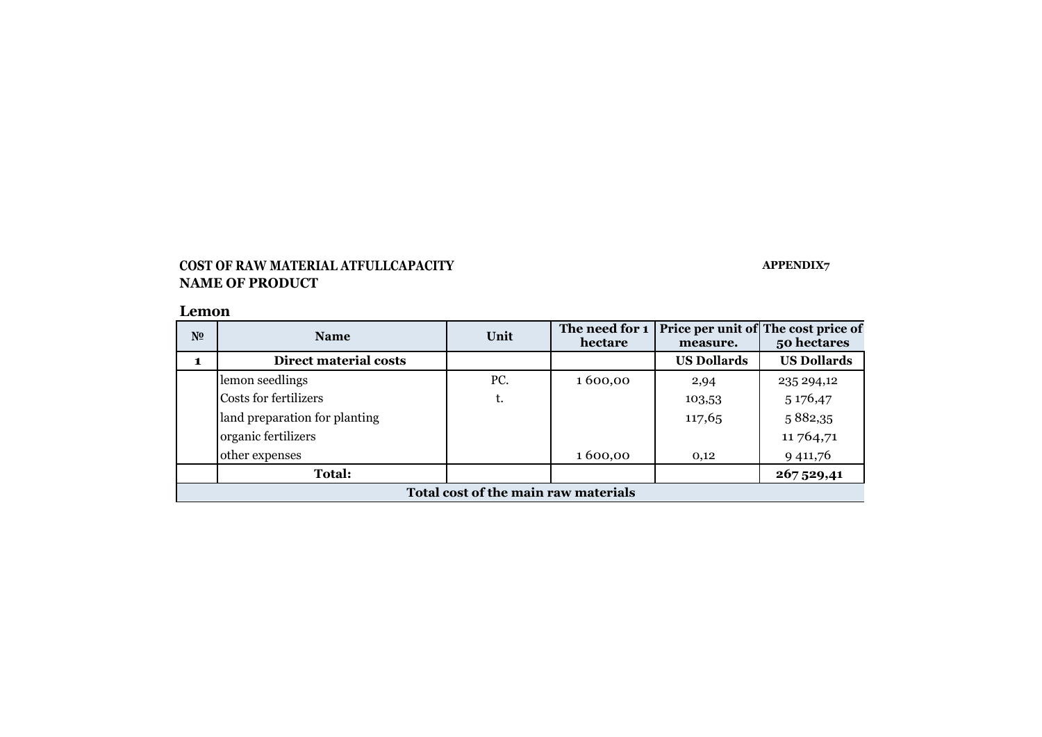## **COST OF RAW MATERIAL ATFULLCAPACITY APPENDIX7 NAME OF PRODUCT**

## **Lemon**

| N <sub>2</sub> | <b>Name</b>                          | The need for 1<br>Unit |         | measure.           | Price per unit of The cost price of<br>50 hectares |  |  |  |  |  |  |
|----------------|--------------------------------------|------------------------|---------|--------------------|----------------------------------------------------|--|--|--|--|--|--|
|                | <b>Direct material costs</b>         |                        |         | <b>US Dollards</b> | <b>US Dollards</b>                                 |  |  |  |  |  |  |
|                | lemon seedlings                      | PC.                    | 1600,00 | 2,94               | 235 294,12                                         |  |  |  |  |  |  |
|                | Costs for fertilizers                | t.                     |         | 103,53             | 5 176,47                                           |  |  |  |  |  |  |
|                | land preparation for planting        |                        |         | 117,65             | 5882,35                                            |  |  |  |  |  |  |
|                | organic fertilizers                  |                        |         |                    | 11 764,71                                          |  |  |  |  |  |  |
|                | other expenses                       |                        | 1600,00 | 0,12               | 9 411,76                                           |  |  |  |  |  |  |
|                | <b>Total:</b>                        |                        |         |                    | 267 529,41                                         |  |  |  |  |  |  |
|                | Total cost of the main raw materials |                        |         |                    |                                                    |  |  |  |  |  |  |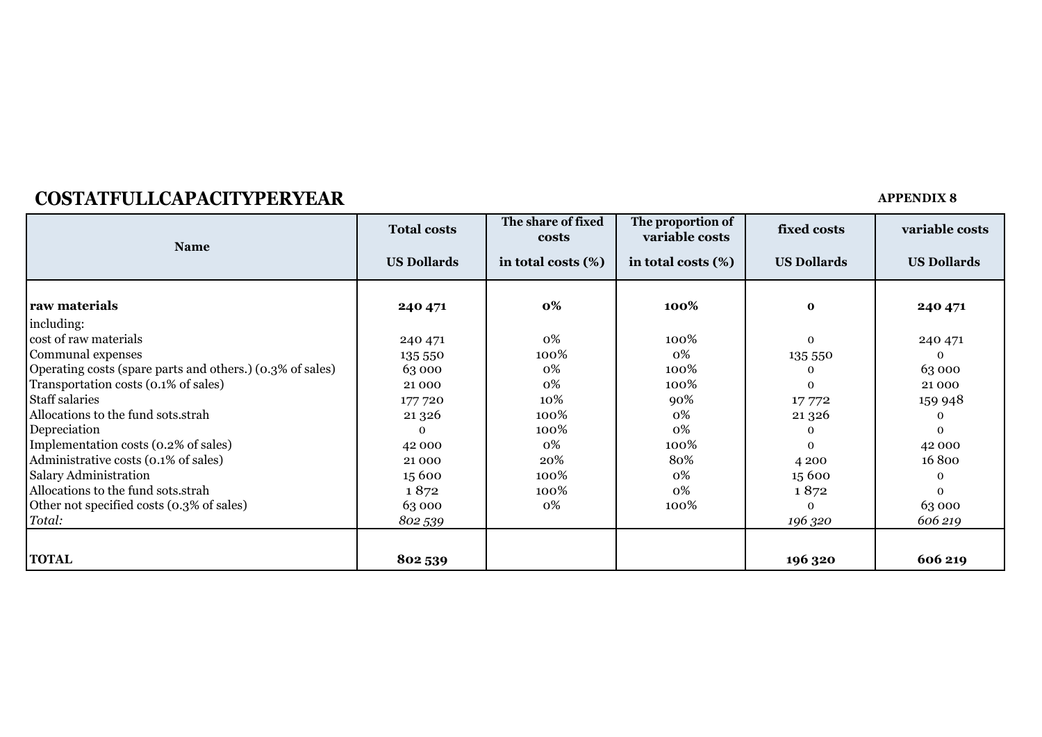# **COSTATFULLCAPACITYPERYEAR APPENDIX 8**

| <b>Name</b>                                               | <b>Total costs</b> | The share of fixed<br>costs | The proportion of<br>variable costs | fixed costs        | variable costs     |
|-----------------------------------------------------------|--------------------|-----------------------------|-------------------------------------|--------------------|--------------------|
|                                                           | <b>US Dollards</b> | in total costs (%)          | in total costs (%)                  | <b>US Dollards</b> | <b>US Dollards</b> |
| raw materials                                             | 240 471            | 0%                          | 100%                                | $\mathbf{o}$       | 240 471            |
| including:                                                |                    |                             |                                     |                    |                    |
| cost of raw materials                                     | 240 471            | 0%                          | 100%                                | $\Omega$           | 240 471            |
| Communal expenses                                         | 135 550            | 100%                        | 0%                                  | 135 550            | $\mathbf 0$        |
| Operating costs (spare parts and others.) (0.3% of sales) | 63 000             | 0%                          | 100%                                |                    | 63 000             |
| Transportation costs (0.1% of sales)                      | 21 000             | 0%                          | 100%                                | $\Omega$           | 21 000             |
| <b>Staff salaries</b>                                     | 177 720            | 10%                         | 90%                                 | 17772              | 159 948            |
| Allocations to the fund sots.strah                        | 21 3 26            | 100%                        | 0%                                  | 21 3 26            | $\Omega$           |
| Depreciation                                              | $\mathbf 0$        | 100%                        | 0%                                  |                    | $\Omega$           |
| Implementation costs (0.2% of sales)                      | 42 000             | 0%                          | 100%                                | $\Omega$           | 42 000             |
| Administrative costs (0.1% of sales)                      | 21 000             | 20%                         | 80%                                 | 4 2 0 0            | 16800              |
| <b>Salary Administration</b>                              | 15 600             | 100%                        | 0%                                  | 15 600             | $\Omega$           |
| Allocations to the fund sots.strah                        | 1872               | 100%                        | 0%                                  | 1872               | $\Omega$           |
| Other not specified costs (0.3% of sales)                 | 63 000             | 0%                          | 100%                                | $\Omega$           | 63 000             |
| Total:                                                    | 802 539            |                             |                                     | 196 320            | 606 219            |
|                                                           |                    |                             |                                     |                    |                    |
| <b>TOTAL</b>                                              | 802 539            |                             |                                     | 196 320            | 606 219            |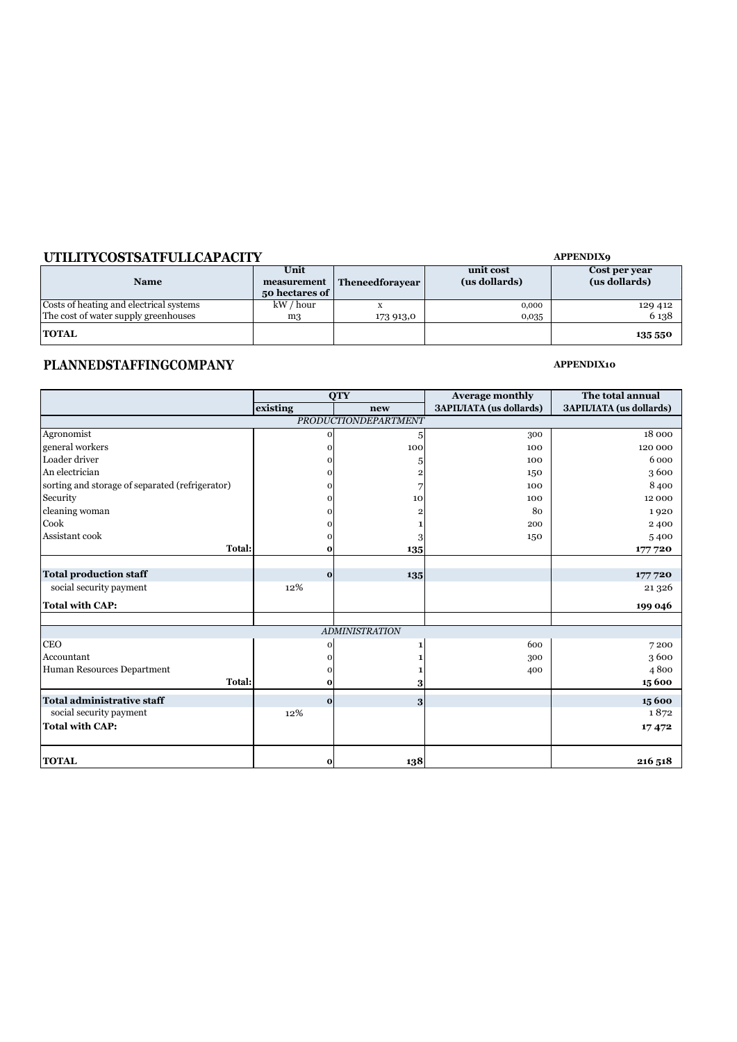## **UTILITYCOSTSATFULLCAPACITY** *APPENDIX9*

| <b>Name</b>                             | Unit<br>measurement<br>50 hectares of | Theneedforayear | unit cost<br>(us dollards) | Cost per year<br>(us dollards) |
|-----------------------------------------|---------------------------------------|-----------------|----------------------------|--------------------------------|
| Costs of heating and electrical systems | kW / hour                             |                 | 0,000                      | 129 412                        |
| The cost of water supply greenhouses    | m <sub>3</sub>                        | 173 913,0       | 0,035                      | 6 138                          |
| <b>TOTAL</b>                            |                                       |                 |                            | 135 550                        |

# **PLANNEDSTAFFINGCOMPANY** *APPENDIX10*

|                                                 |          | <b>QTY</b>                  | <b>Average monthly</b>          | The total annual                |
|-------------------------------------------------|----------|-----------------------------|---------------------------------|---------------------------------|
|                                                 | existing | new                         | <b>3APILJIATA</b> (us dollards) | <b>3APILJIATA</b> (us dollards) |
|                                                 |          | <b>PRODUCTIONDEPARTMENT</b> |                                 |                                 |
| Agronomist                                      | $\Omega$ | 5                           | 300                             | 18 000                          |
| general workers                                 |          | 100                         | 100                             | 120 000                         |
| Loader driver                                   |          | 5                           | 100                             | 6000                            |
| An electrician                                  |          |                             | 150                             | 3600                            |
| sorting and storage of separated (refrigerator) |          |                             | 100                             | 8400                            |
| Security                                        |          | 10                          | 100                             | 12 000                          |
| cleaning woman                                  |          |                             | 80                              | 1920                            |
| Cook                                            |          |                             | 200                             | 2400                            |
| Assistant cook                                  | 0        | 3                           | 150                             | 5400                            |
| Total:                                          | 0        | 135                         |                                 | 177720                          |
|                                                 |          |                             |                                 |                                 |
| <b>Total production staff</b>                   | $\bf{0}$ | 135                         |                                 | 177720                          |
| social security payment                         | 12%      |                             |                                 | 21 3 26                         |
| <b>Total with CAP:</b>                          |          |                             |                                 | 199 046                         |
|                                                 |          |                             |                                 |                                 |
|                                                 |          | <b>ADMINISTRATION</b>       |                                 |                                 |
| <b>CEO</b>                                      | $\Omega$ |                             | 600                             | 7200                            |
| Accountant                                      |          |                             | 300                             | 3600                            |
| Human Resources Department                      |          |                             | 400                             | 4800                            |
| Total:                                          | 0        | 3                           |                                 | 15 600                          |
| <b>Total administrative staff</b>               | $\bf{0}$ | 3                           |                                 | 15600                           |
| social security payment                         | 12%      |                             |                                 | 1872                            |
| <b>Total with CAP:</b>                          |          |                             |                                 | 17472                           |
|                                                 |          |                             |                                 |                                 |
|                                                 |          |                             |                                 |                                 |
| <b>TOTAL</b>                                    | $\bf{0}$ | 138                         |                                 | 216 518                         |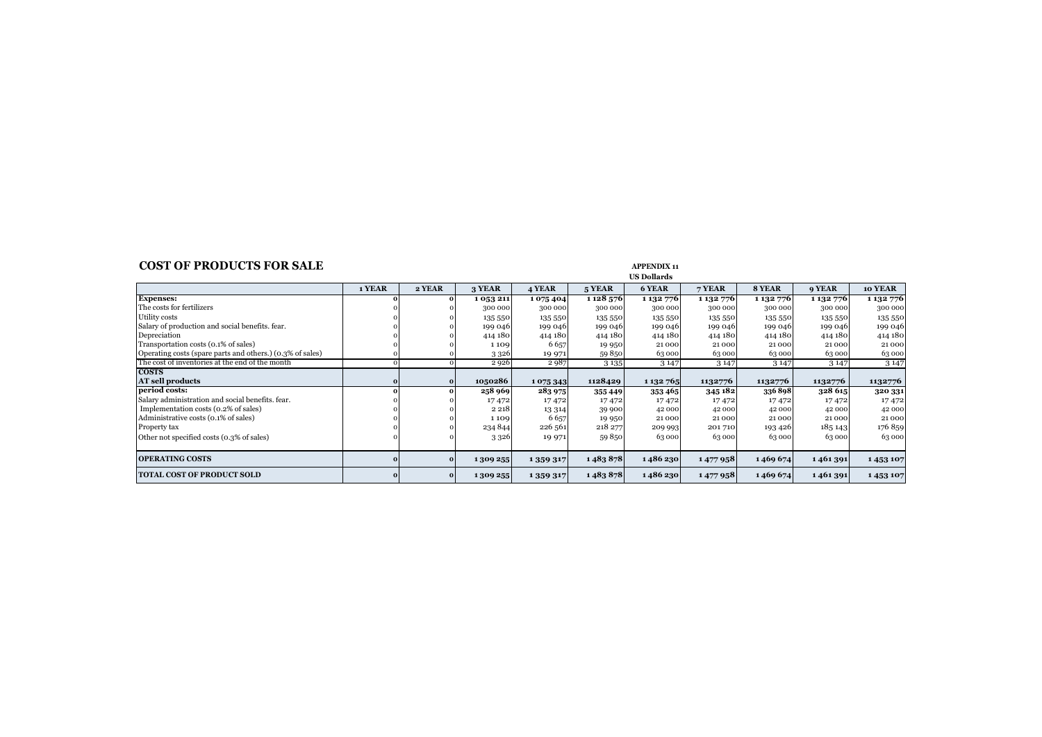### **COST OF PRODUCTS FOR SALE APPENDIX 11**

|                                                           |        |          |          |           |               | ບບ ມບມແມ່ ແນ  |           |           |           |           |
|-----------------------------------------------------------|--------|----------|----------|-----------|---------------|---------------|-----------|-----------|-----------|-----------|
|                                                           | 1 YEAR | 2 YEAR   | 3 YEAR   | 4 YEAR    | 5 YEAR        | 6 YEAR        | 7 YEAR    | 8 YEAR    | 9 YEAR    | 10 YEAR   |
| <b>Expenses:</b>                                          |        |          | 1053211  | 1075404   | 1 1 2 5 5 7 6 | 1 132 776     | 1 132 776 | 1 132 776 | 1 132 776 | 1 132 776 |
| The costs for fertilizers                                 |        |          | 300 000  | 300 000   | 300 000       | 300 000       | 300 000   | 300 000   | 300 000   | 300 000   |
| Utility costs                                             |        |          | 135 550  | 135 550   | 135 550       | 135 550       | 135 550   | 135 550   | 135 550   | 135 550   |
| Salary of production and social benefits, fear.           |        |          | 199 046  | 199 046   | 199 046       | 199 046       | 199 046   | 199 046   | 199 046   | 199 046   |
| Depreciation                                              |        |          | 414 180  | 414 180   | 414 180       | 414 180       | 414 180   | 414 180   | 414 180   | 414 180   |
| Transportation costs (0.1% of sales)                      |        |          | 1109     | 6657      | 19 950        | 21000         | 21000     | 21000     | 21000     | 21000     |
| Operating costs (spare parts and others.) (0.3% of sales) |        |          | 3326     | 19 971    | 59850         | 63000         | 63000     | 63000     | 63 000    | 63 000    |
| The cost of inventories at the end of the month           |        |          | 2926     | 2987      | 3 1 3 5       | 3147          | 3147      | 3 1 4 7   | 3 1 4 7   | 3 1 4 7   |
| <b>COSTS</b>                                              |        |          |          |           |               |               |           |           |           |           |
| AT sell products                                          |        | $\bf{o}$ | 1050286  | 1075343   | 1128429       | 1 1 3 2 7 6 5 | 1132776   | 1132776   | 1132776   | 1132776   |
| period costs:                                             |        |          | 258 969  | 283 975   | 355449        | 353465        | 345 182   | 336898    | 328 615   | 320 331   |
| Salary administration and social benefits, fear.          |        |          | 17472    | 17472     | 17472         | 17472         | 17472     | 17472     | 17472     | 17472     |
| Implementation costs (0.2% of sales)                      |        |          | 2 2 1 8  | 13 3 14   | 39 900        | 42 000        | 42 000    | 42 000    | 42 000    | 42 000    |
| Administrative costs (0.1% of sales)                      |        |          | 1109     | 6657      | 19 950        | 21000         | 21000     | 21000     | 21000     | 21000     |
| Property tax                                              |        |          | 234 844  | 226 561   | 218 277       | 209 993       | 201710    | 193426    | 185 143   | 176859    |
| Other not specified costs (0.3% of sales)                 |        |          | 3326     | 19 971    | 59850         | 63000         | 63000     | 63000     | 63 000    | 63 000    |
|                                                           |        |          |          |           |               |               |           |           |           |           |
| <b>OPERATING COSTS</b>                                    |        | $\bf{o}$ | 1309 255 | 1 359 317 | 1483878       | 1486230       | 1477958   | 1469 674  | 1461391   | 1453107   |
| <b>TOTAL COST OF PRODUCT SOLD</b>                         |        | $\bf{o}$ | 1309 255 | 1 359 317 | 1483878       | 1486230       | 1477958   | 1469674   | 1461391   | 1453107   |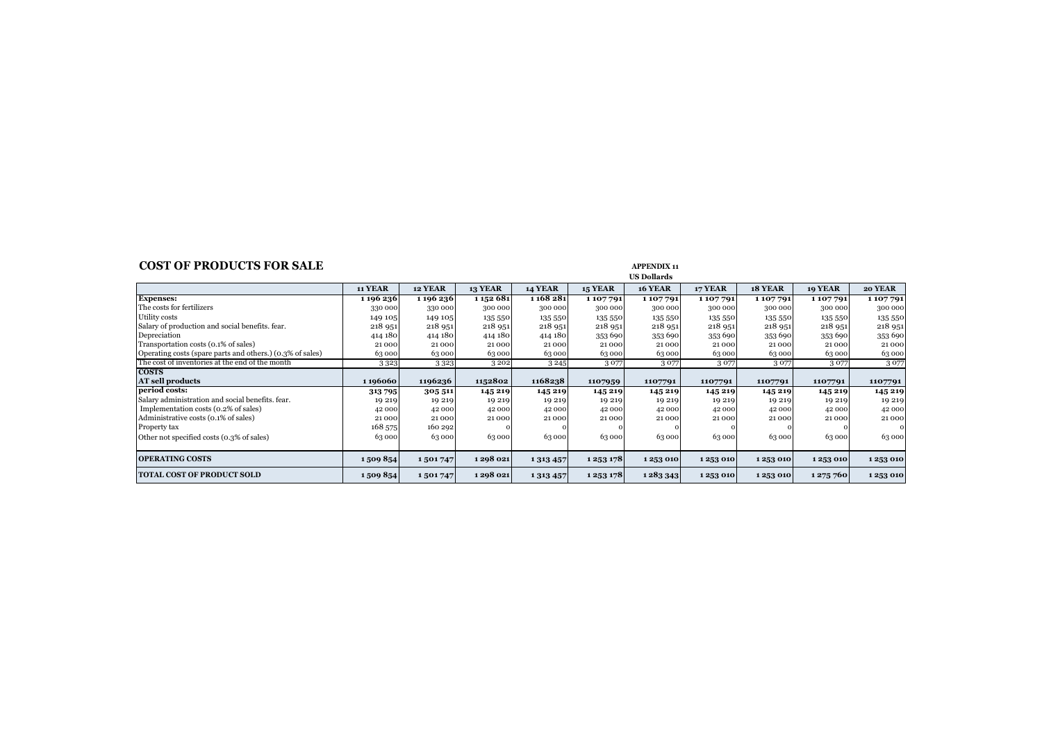### **COST OF PRODUCTS FOR SALE APPENDIX 11**

|                                                           | <b>11 YEAR</b> | 12 YEAR   | <b>13 YEAR</b> | <b>14 YEAR</b> | <b>15 YEAR</b> | <b>16 YEAR</b> | 17 YEAR | 18 YEAR | 19 YEAR   | 20 YEAR |
|-----------------------------------------------------------|----------------|-----------|----------------|----------------|----------------|----------------|---------|---------|-----------|---------|
| <b>Expenses:</b>                                          | 1196236        | 1 196 236 | 1 1 5 2 6 8 1  | 1 168 281      | 1107791        | 1107791        | 1107791 | 1107791 | 1107791   | 1107791 |
| The costs for fertilizers                                 | 330 000        | 330 000   | 300 000        | 300 000        | 300 000        | 300 000        | 300 000 | 300 000 | 300 000   | 300 000 |
| Utility costs                                             | 149 105        | 149 105   | 135 550        | 135 550        | 135 550        | 135 550        | 135 550 | 135 550 | 135 550   | 135 550 |
| Salary of production and social benefits. fear.           | 218 951        | 218 951   | 218 951        | 218 951        | 218 951        | 218 951        | 218 951 | 218 951 | 218 951   | 218 951 |
| Depreciation                                              | 414 180        | 414 180   | 414 180        | 414 180        | 353 690        | 353 690        | 353 690 | 353 690 | 353 690   | 353 690 |
| Transportation costs (0.1% of sales)                      | 21000          | 21000     | 21000          | 21 000         | 21000          | 21000          | 21000   | 21000   | 21000     | 21000   |
| Operating costs (spare parts and others.) (0.3% of sales) | 63 000         | 63000     | 63 000         | 63000          | 63 000         | 63000          | 63000   | 63 000  | 63 000    | 63 000  |
| The cost of inventories at the end of the month           | 3323           | 3323      | 3202           | 3245           | 3077           | 3077           | 3077    | 3077    | 3077      | 3077    |
| <b>COSTS</b>                                              |                |           |                |                |                |                |         |         |           |         |
| <b>AT sell products</b>                                   | 1196060        | 1196236   | 1152802        | 1168238        | 1107959        | 1107791        | 1107791 | 1107791 | 1107791   | 1107791 |
| period costs:                                             | 313795         | 305 511   | 145 219        | 145 219        | 145 219        | 145 219        | 145 219 | 145 219 | 145 219   | 145 219 |
| Salary administration and social benefits, fear,          | 19 219         | 19 219    | 19 219         | 19 219         | 19 219         | 19 219         | 19 219  | 19 219  | 19 219    | 19 219  |
| Implementation costs (0.2% of sales)                      | 42 000         | 42 000    | 42 000         | 42 000         | 42 000         | 42 000         | 42 000  | 42 000  | 42 000    | 42 000  |
| Administrative costs (0.1% of sales)                      | 21000          | 21000     | 21000          | 21 000         | 21000          | 21000          | 21000   | 21000   | 21000     | 21000   |
| Property tax                                              | 168 575        | 160 292   |                |                |                |                |         |         |           |         |
| Other not specified costs (0.3% of sales)                 | 63 000         | 63000     | 63000          | 63000          | 63000          | 63000          | 63000   | 63000   | 63 000    | 63 000  |
|                                                           |                |           |                |                |                |                |         |         |           |         |
| <b>OPERATING COSTS</b>                                    | 1509854        | 1501747   | 1298 021       | 1 3 1 3 4 5 7  | 1 2 5 3 1 7 8  | 1253010        | 1253010 | 1253010 | 1253010   | 1253010 |
| <b>TOTAL COST OF PRODUCT SOLD</b>                         | 1509854        | 1501747   | 1298 021       | 1 3 1 3 4 5 7  | 1 2 5 3 1 7 8  | 1283343        | 1253010 | 1253010 | 1 275 760 | 1253010 |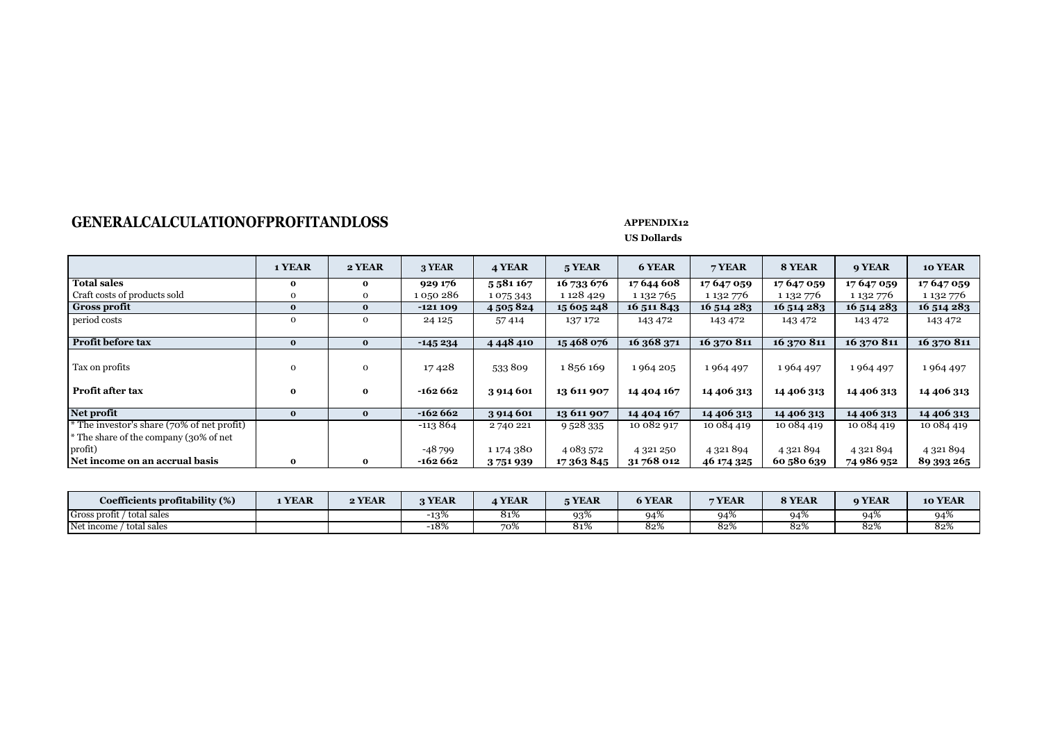# GENERALCALCULATIONOFPROFITANDLOSS APPENDIX12

|                                            | 1 YEAR       | 2 YEAR       | 3 YEAR    | 4 YEAR        | 5 YEAR      | 6 YEAR      | 7 YEAR     | 8 YEAR     | <b>9 YEAR</b> | 10 YEAR       |
|--------------------------------------------|--------------|--------------|-----------|---------------|-------------|-------------|------------|------------|---------------|---------------|
| <b>Total sales</b>                         | $\mathbf{o}$ | $\bf{0}$     | 929 176   | 5581167       | 16 733 676  | 17 644 608  | 17 647 059 | 17 647 059 | 17 647 059    | 17 647 059    |
| Craft costs of products sold               | 0            | 0            | 1 050 286 | 1075343       | 1 1 2 4 2 9 | 1 132 765   | 1 132 776  | 1 132 776  | 1 132 776     | 1 132 776     |
| <b>Gross profit</b>                        | $\bf{0}$     | $\mathbf{o}$ | $-121109$ | 4 505 824     | 15 605 248  | 16 511 843  | 16 514 283 | 16 514 283 | 16 514 283    | 16 514 283    |
| period costs                               | $\mathbf{O}$ | $\mathbf{O}$ | 24 1 25   | 57414         | 137 172     | 143 472     | 143 472    | 143 472    | 143 472       | 143 472       |
|                                            |              |              |           |               |             |             |            |            |               |               |
| Profit before tax                          | $\bf{0}$     | $\bf{0}$     | $-145234$ | 4 4 4 4 4 1 0 | 15468076    | 16 368 371  | 16 370 811 | 16 370 811 | 16 370 811    | 16 370 811    |
|                                            |              |              |           |               |             |             |            |            |               |               |
| Tax on profits                             | 0            | 0            | 17428     | 533809        | 1856169     | 1964 205    | 1964 497   | 1964 497   | 1964 497      | 1964497       |
|                                            |              |              |           |               |             |             |            |            |               |               |
| <b>Profit after tax</b>                    | 0            | $\mathbf{o}$ | $-162662$ | 3 914 601     | 13 611 907  | 14 404 167  | 14 406 313 | 14 406 313 | 14 406 313    | 14 406 313    |
|                                            |              |              |           |               |             |             |            |            |               |               |
| Net profit                                 | $\bf{0}$     | $\bf{0}$     | $-162662$ | 3 914 601     | 13 611 907  | 14 4 04 167 | 14 406 313 | 14 406 313 | 14 406 313    | 14 406 313    |
| * The investor's share (70% of net profit) |              |              | $-113864$ | 2740221       | 9 5 28 3 35 | 10 082 917  | 10 084 419 | 10 084 419 | 10 084 419    | 10 084 419    |
| * The share of the company (30% of net     |              |              |           |               |             |             |            |            |               |               |
| profit)                                    |              |              | -48 799   | 1 174 380     | 4 083 572   | 4 321 250   | 4 321 894  | 4 321 894  | 4 321 894     | 4 3 2 1 8 9 4 |
| Net income on an accrual basis             | 0            | $\mathbf{o}$ | -162 662  | 3751939       | 17 363 845  | 31 768 012  | 46 174 325 | 60 580 639 | 74 986 952    | 89 393 265    |

| Coefficients profitability (%)<br>$\sqrt{20}$ | <b>YEAR</b> | 2 YEAR | 3 YEAR | <b>YEAR</b>   | <b>TYEAR</b> | <b>6 YEAR</b> | 7 YEAR | <b>8 YEAR</b> | <b>9 YEAR</b> | 10 YEAR |
|-----------------------------------------------|-------------|--------|--------|---------------|--------------|---------------|--------|---------------|---------------|---------|
| Gross profit / total sales                    |             |        | $-13%$ | 81%           | 93%          | 94%           | 04%    |               | 94%           | 94%     |
| Net income<br>' total sales                   |             |        | $-18%$ | $\sim$<br>70ኢ | 81%          | 82%           | 82%    | 82%           | 82%           | 82%     |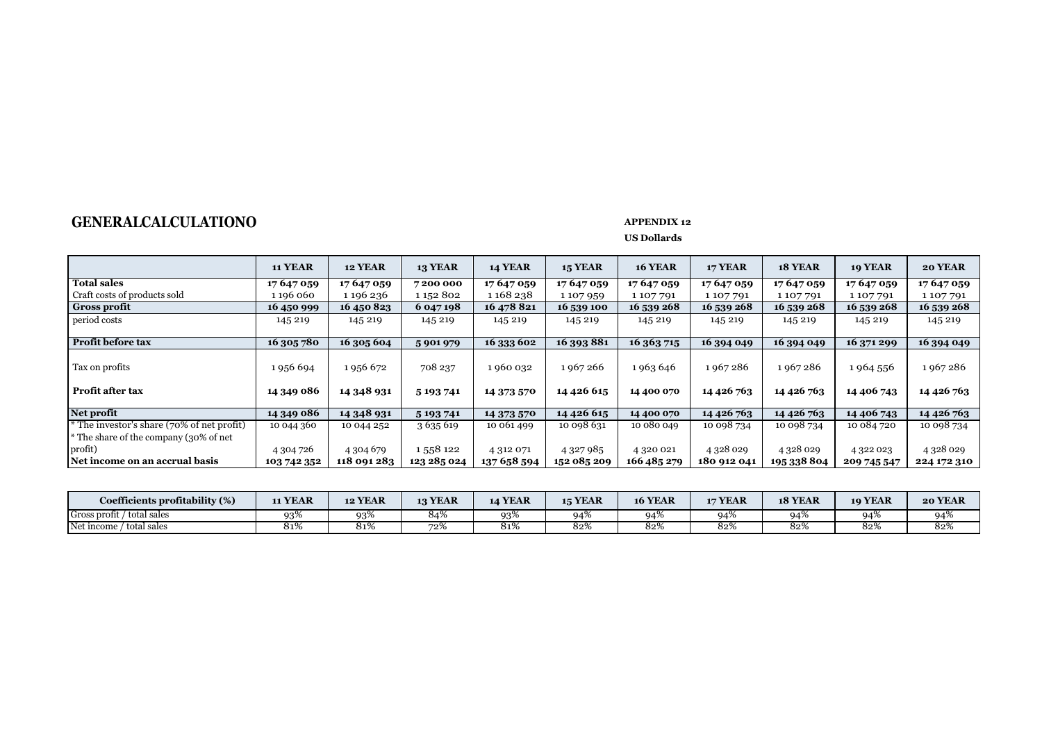# **GENERALCALCULATIONO** *APPENDIX 12*

|                                            | <b>11 YEAR</b> | <b>12 YEAR</b> | <b>13 YEAR</b> | <b>14 YEAR</b> | <b>15 YEAR</b> | <b>16 YEAR</b> | <b>17 YEAR</b> | 18 YEAR     | <b>19 YEAR</b> | 20 YEAR       |
|--------------------------------------------|----------------|----------------|----------------|----------------|----------------|----------------|----------------|-------------|----------------|---------------|
| <b>Total sales</b>                         | 17 647 059     | 17 647 059     | 7200000        | 17 647 059     | 17 647 059     | 17 647 059     | 17 647 059     | 17 647 059  | 17 647 059     | 17 647 059    |
| Craft costs of products sold               | 1 196 060      | 1 196 236      | 1 152 802      | 1 168 238      | 1107959        | 1 107 791      | 1 107 791      | 1107791     | 1107791        | 1107791       |
| <b>Gross profit</b>                        | 16 450 999     | 16 450 823     | 6 047 198      | 16 478 821     | 16 539 100     | 16 539 268     | 16 539 268     | 16 539 268  | 16 539 268     | 16 539 268    |
| period costs                               | 145 219        | 145 219        | 145 219        | 145 219        | 145 219        | 145 219        | 145 219        | 145 219     | 145 219        | 145 219       |
|                                            |                |                |                |                |                |                |                |             |                |               |
| Profit before tax                          | 16 305 780     | 16 305 604     | 5901979        | 16 333 602     | 16 393 881     | 16 363 715     | 16 394 049     | 16 394 049  | 16 371 299     | 16 394 049    |
|                                            |                |                |                |                |                |                |                |             |                |               |
| Tax on profits                             | 1956 694       | 1956 672       | 708 237        | 1960 032       | 1967266        | 1963 646       | 1967286        | 1967286     | 1964 556       | 1967286       |
| Profit after tax                           | 14 349 086     | 14 348 931     | 5 193 741      | 14 373 570     | 14 4 26 6 15   | 14 400 070     | 14 4 26 763    | 14 4 26 763 | 14 406 743     | 14 4 26 763   |
| Net profit                                 | 14 349 086     | 14 348 931     | 5 193 741      | 14 373 570     | 14 4 26 6 15   | 14 400 070     | 14 4 26 763    | 14 4 26 763 | 14 406 743     | 14 4 26 763   |
| * The investor's share (70% of net profit) | 10 044 360     | 10 044 252     | 3 635 619      | 10 061 499     | 10 098 631     | 10 080 049     | 10 098 734     | 10 098 734  | 10 084 720     | 10 098 734    |
| * The share of the company (30% of net     |                |                |                |                |                |                |                |             |                |               |
| profit)                                    | 4 304 726      | 4 304 679      | 1558 122       | 4 312 071      | 4 3 2 7 9 8 5  | 4 320 021      | 4 3 28 0 29    | 4 3 28 0 29 | 4 322 023      | 4 3 2 8 0 2 9 |
| Net income on an accrual basis             | 103 742 352    | 118 091 283    | 123 285 024    | 137 658 594    | 152 085 209    | 166 485 279    | 180 912 041    | 195 338 804 | 209 745 547    | 224 172 310   |

| Coefficients profitability (%) | 11 YEAR       | <b>12 YEAR</b> | <b>13 YEAR</b> | <b>14 YEAR</b> | <b>15 YEAR</b> | <b>16 YEAR</b> | 17 YEAR | 18 YEAR | 19 YEAR | 20 YEAR |
|--------------------------------|---------------|----------------|----------------|----------------|----------------|----------------|---------|---------|---------|---------|
| Gross profit / total sales     | $93^\circ$    | 93%            | 04 / (         | 93%            | $94^\circ$     | 94%            | 04%     |         | 94%     | 94%     |
| Net income<br>total sales      | $\sim$<br>819 | $2 - 0$<br>017 | 72%            | 81%            | 82%            | 82%            | 82%     | 82%     | 82%     | 82%     |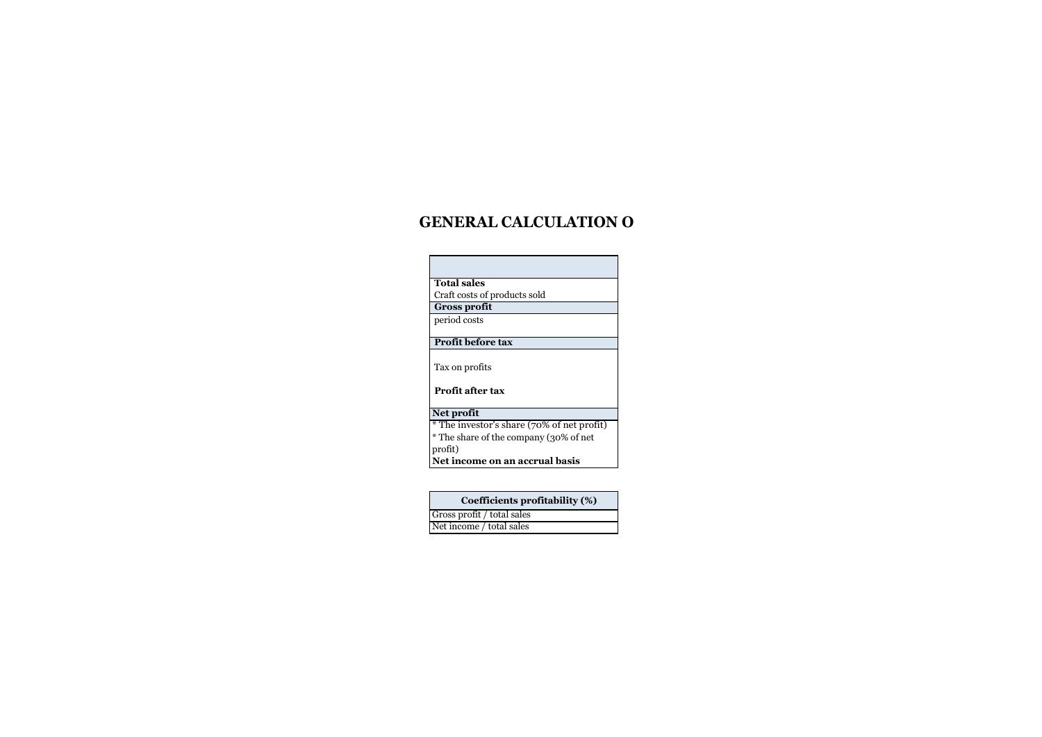# **GENERAL CALCULATION O**

| <b>Total sales</b>                         |
|--------------------------------------------|
| Craft costs of products sold               |
| <b>Gross profit</b>                        |
| period costs                               |
|                                            |
| Profit before tax                          |
| Tax on profits                             |
| <b>Profit after tax</b>                    |
| Net profit                                 |
| * The investor's share (70% of net profit) |
| * The share of the company (30% of net     |
| profit)                                    |
| Net income on an accrual basis             |
|                                            |
|                                            |

| Coefficients profitability (%) |
|--------------------------------|
| Gross profit / total sales     |
| Net income / total sales       |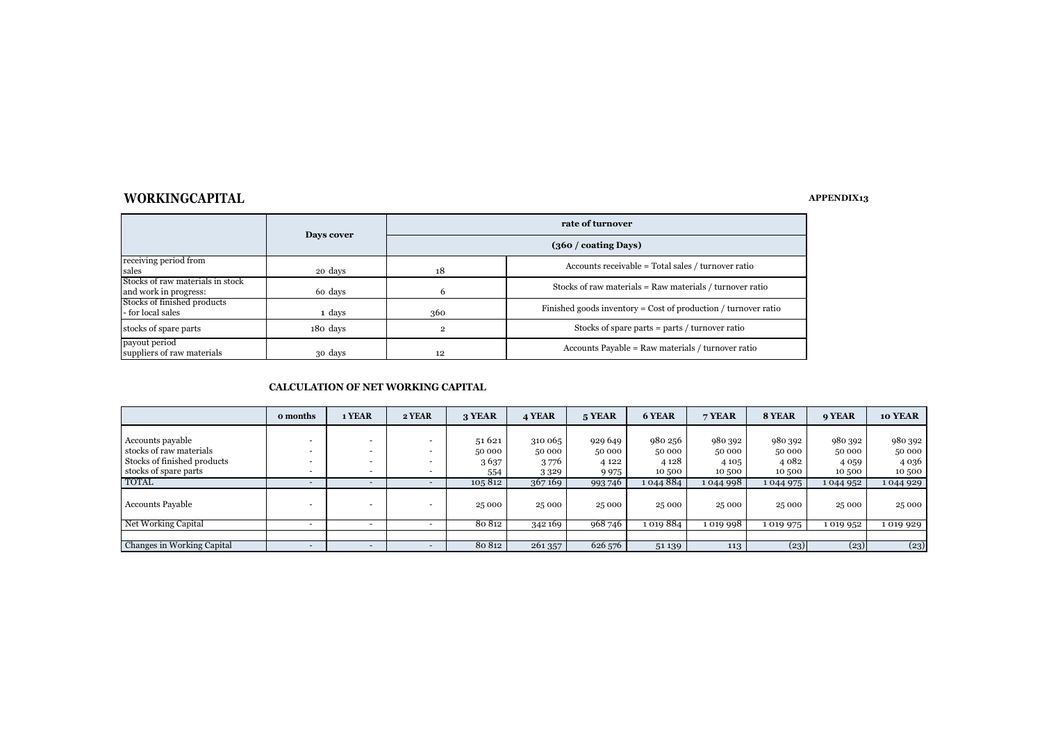### **WORKINGCAPITAL APPENDIX13**

|                                  |            |                               | rate of turnover                                                 |  |  |  |  |  |  |
|----------------------------------|------------|-------------------------------|------------------------------------------------------------------|--|--|--|--|--|--|
|                                  | Days cover | $(360 / \text{coating Days})$ |                                                                  |  |  |  |  |  |  |
| receiving period from            |            |                               | Accounts receivable = Total sales / turnover ratio               |  |  |  |  |  |  |
| sales                            | 20 days    | 18                            |                                                                  |  |  |  |  |  |  |
| Stocks of raw materials in stock |            |                               |                                                                  |  |  |  |  |  |  |
| and work in progress:            | 60 days    | h                             | Stocks of raw materials = Raw materials / turnover ratio         |  |  |  |  |  |  |
| Stocks of finished products      |            |                               |                                                                  |  |  |  |  |  |  |
| - for local sales                | 1 days     | 360                           | Finished goods inventory = $Cost of production / turnover ratio$ |  |  |  |  |  |  |
| stocks of spare parts            | 180 days   |                               | Stocks of spare parts $=$ parts $/$ turnover ratio               |  |  |  |  |  |  |
| payout period                    |            |                               |                                                                  |  |  |  |  |  |  |
| suppliers of raw materials       | 30 days    | 12                            | Accounts Payable = Raw materials / turnover ratio                |  |  |  |  |  |  |

#### **CALCULATION OF NET WORKING CAPITAL**

|                             | o months | 1 YEAR | 2 YEAR | 3 YEAR  | 4 YEAR  | 5 YEAR  | 6 YEAR    | 7 YEAR  | 8 YEAR    | 9 YEAR    | 10 YEAR |
|-----------------------------|----------|--------|--------|---------|---------|---------|-----------|---------|-----------|-----------|---------|
|                             |          |        |        |         |         |         |           |         |           |           |         |
| Accounts payable            |          |        |        | 51 6 21 | 310 065 | 929 649 | 980 256   | 980 392 | 980 392   | 980 392   | 980 392 |
| stocks of raw materials     |          |        |        | 50 000  | 50 000  | 50 000  | 50 000    | 50 000  | 50 000    | 50 000    | 50 000  |
| Stocks of finished products |          |        |        | 3637    | 3776    | 4 1 2 2 | 4 1 2 8   | 4 1 0 5 | 4 0 8 2   | 4 0 5 9   | 4 0 3 6 |
| stocks of spare parts       |          |        |        | 554     | 3329    | 9975    | 10 500    | 10 500  | 10 500    | 10 500    | 10 500  |
| <b>TOTAL</b>                |          | -      |        | 105812  | 367169  | 993 746 | 1044884   | 1044998 | 1044975   | 1 044 952 | 1044929 |
| Accounts Payable            |          |        |        | 25 000  | 25 000  | 25 000  | 25 000    | 25 000  | 25 000    | 25 000    | 25 000  |
| Net Working Capital         |          |        |        | 80 812  | 342 169 | 968 746 | 1 019 884 | 1019998 | 1 0 1 975 | 1 019 952 | 1019929 |
|                             |          |        |        |         |         |         |           |         |           |           |         |
| Changes in Working Capital  |          |        |        | 80 812  | 261357  | 626 576 | 51 139    | 113     | (23)      | (23)      | (23)    |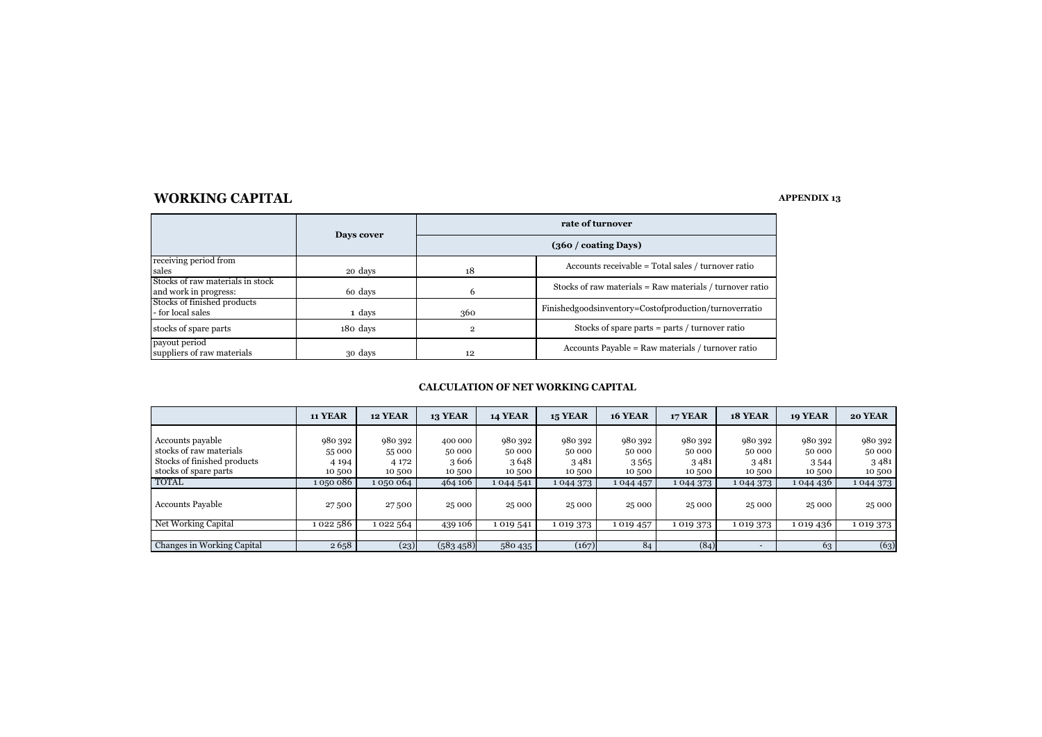### **WORKING CAPITAL**

#### **APPENDIX 13**

|                                  | Days cover | rate of turnover              |                                                          |  |  |  |  |
|----------------------------------|------------|-------------------------------|----------------------------------------------------------|--|--|--|--|
|                                  |            | $(360 / \text{coating Days})$ |                                                          |  |  |  |  |
| receiving period from            |            |                               | Accounts receivable = Total sales / turnover ratio       |  |  |  |  |
| sales                            | 20 days    | 18                            |                                                          |  |  |  |  |
| Stocks of raw materials in stock |            |                               | Stocks of raw materials = Raw materials / turnover ratio |  |  |  |  |
| and work in progress:            | 60 days    | 6                             |                                                          |  |  |  |  |
| Stocks of finished products      |            |                               |                                                          |  |  |  |  |
| - for local sales                | 1 days     | 360                           | Finishedgoodsinventory=Costofproduction/turnoverratio    |  |  |  |  |
| stocks of spare parts            | 180 days   | $\overline{2}$                | Stocks of spare parts $=$ parts $/$ turnover ratio       |  |  |  |  |
| payout period                    |            |                               |                                                          |  |  |  |  |
| suppliers of raw materials       | 30 days    | 12                            | Accounts Payable = Raw materials / turnover ratio        |  |  |  |  |

#### **CALCULATION OF NET WORKING CAPITAL**

|                             | <b>11 YEAR</b> | <b>12 YEAR</b> | <b>13 YEAR</b> | <b>14 YEAR</b> | <b>15 YEAR</b> | <b>16 YEAR</b> | <b>17 YEAR</b> | 18 YEAR   | <b>19 YEAR</b> | <b>20 YEAR</b> |
|-----------------------------|----------------|----------------|----------------|----------------|----------------|----------------|----------------|-----------|----------------|----------------|
|                             |                |                |                |                |                |                |                |           |                |                |
| Accounts payable            | 980 392        | 980 392        | 400 000        | 980 392        | 980 392        | 980 392        | 980 392        | 980 392   | 980 392        | 980 392        |
| stocks of raw materials     | 55 000         | 55 000         | 50 000         | 50 000         | 50 000         | 50 000         | 50 000         | 50 000    | 50 000         | 50 000         |
| Stocks of finished products | 4 1 9 4        | 4 172          | 3606           | 3648           | 3481           | 3565           | 3481           | 3481      | 3544           | 3481           |
| stocks of spare parts       | 10500          | 10500          | 10500          | 10 500         | 10 500         | 10 500         | 10 500         | 10 500    | 10 500         | 10 500         |
| <b>TOTAL</b>                | 1050086        | 1050064        | 464 106        | 1044541        | 1 044 373      | 1 044 457      | 1 044 373      | 1 044 373 | 1 044 436      | 1044373        |
| <b>Accounts Payable</b>     | 27500          | 27500          | 25 000         | 25 000         | 25 000         | 25 000         | 25 000         | 25 000    | 25 000         | 25 000         |
| Net Working Capital         | 1 022 586      | 1022564        | 439 106        | 1019541        | 1019373        | 1019457        | 1019373        | 1019373   | 1 0 1 9 4 3 6  | 1019373        |
|                             |                |                |                |                |                |                |                |           |                |                |
| Changes in Working Capital  | 2658           | (23)           | (583, 458)     | 580 435        | (167)          | 84             | (84)           |           | 63             | (63)           |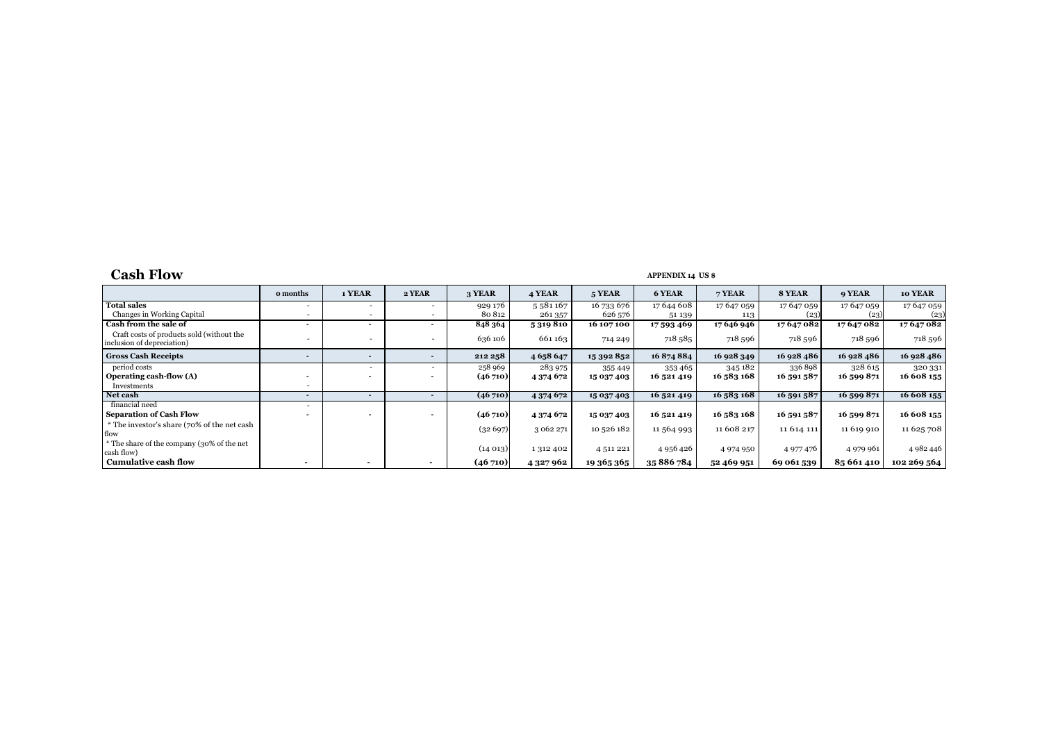# **Cash Flow APPENDIX 14 US \$**

|                                                                         | o months       | 1 YEAR                   | 2 YEAR                   | 3 YEAR  | 4 YEAR        | 5 YEAR      | 6 YEAR        | 7 YEAR     | 8 YEAR      | 9 YEAR      | 10 YEAR     |
|-------------------------------------------------------------------------|----------------|--------------------------|--------------------------|---------|---------------|-------------|---------------|------------|-------------|-------------|-------------|
| <b>Total sales</b>                                                      |                | $\overline{\phantom{a}}$ | $\overline{a}$           | 929 176 | 5581167       | 16 733 676  | 17 644 608    | 17647059   | 17647059    | 17647059    | 17 647 059  |
| Changes in Working Capital                                              |                |                          | $\overline{a}$           | 80 812  | 261 357       | 626 576     | 51 139        | 113        | (23)        | (23)        | (23)        |
| Cash from the sale of                                                   |                |                          |                          | 848 364 | 5 319 810     | 16 107 100  | 17 593 469    | 17 646 946 | 17647082    | 17647082    | 17647082    |
| Craft costs of products sold (without the<br>inclusion of depreciation) |                |                          |                          | 636 106 | 661163        | 714 249     | 718 585       | 718 596    | 718 596     | 718 596     | 718 596     |
| <b>Gross Cash Receipts</b>                                              |                |                          | $\overline{\phantom{a}}$ | 212 258 | 4 6 5 8 6 4 7 | 15 392 852  | 16874884      | 16 928 349 | 16 928 486  | 16 928 486  | 16 928 486  |
| period costs                                                            |                |                          |                          | 258 969 | 283 975       | 355 449     | 353 465       | 345182     | 336898      | 328 615     | 320 331     |
| Operating cash-flow (A)                                                 |                |                          |                          | (46710) | 4 374 672     | 15 037 403  | 16 521 419    | 16 583 168 | 16 591 587  | 16 599 871  | 16 608 155  |
| Investments                                                             |                |                          |                          |         |               |             |               |            |             |             |             |
| Net cash                                                                | $\overline{a}$ |                          | $\sim$                   | (46710) | 4 3 7 4 6 7 2 | 15 037 403  | 16 521 419    | 16 583 168 | 16 591 587  | 16 599 871  | 16 608 155  |
| financial need                                                          |                |                          |                          |         |               |             |               |            |             |             |             |
| <b>Separation of Cash Flow</b>                                          |                |                          |                          | (46710) | 4 374 672     | 15 037 403  | 16 521 419    | 16 583 168 | 16 591 587  | 16 599 871  | 16 608 155  |
| * The investor's share (70% of the net cash                             |                |                          |                          | (32697) | 3 062 271     | 10 526 182  | 11 564 993    | 11 608 217 | 11 6 14 111 | 11 619 910  | 11 625 708  |
| flow                                                                    |                |                          |                          |         |               |             |               |            |             |             |             |
| * The share of the company (30% of the net<br>cash flow)                |                |                          |                          | (14013) | 1 312 402     | 4 5 11 2 21 | 4 9 5 6 4 2 6 | 4974950    | 4 977 476   | 4 9 79 9 61 | 4 982 446   |
| <b>Cumulative cash flow</b>                                             |                |                          |                          | (46710) | 4 3 2 7 9 6 2 | 19 365 365  | 35 886 784    | 52 469 951 | 69 061 539  | 85 661 410  | 102 269 564 |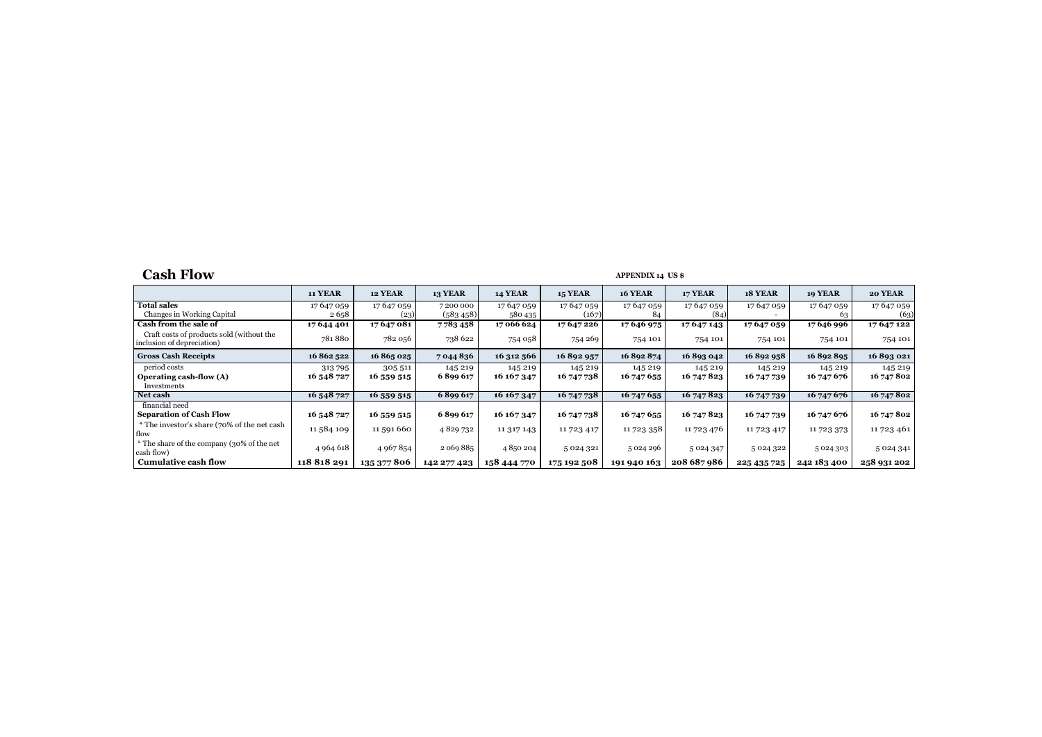# Cash Flow **APPENDIX 14** US \$

|                                                                         | <b>11 YEAR</b> | 12 YEAR     | <b>13 YEAR</b> | 14 YEAR       | <b>15 YEAR</b> | <b>16 YEAR</b> | 17 YEAR     | 18 YEAR     | 19 YEAR       | 20 YEAR       |
|-------------------------------------------------------------------------|----------------|-------------|----------------|---------------|----------------|----------------|-------------|-------------|---------------|---------------|
| <b>Total sales</b>                                                      | 17 647 059     | 17 647 059  | 7 200 000      | 17 647 059    | 17647059       | 17 647 059     | 17 647 059  | 17 647 059  | 17647059      | 17 647 059    |
| Changes in Working Capital                                              | 2658           | (23)        | (583, 458)     | 580 435       | (167)          | 84             | (84)        |             | 63            | (63)          |
| Cash from the sale of                                                   | 17644401       | 17647081    | 7783458        | 17 066 624    | 17 647 226     | 17 646 975     | 17647143    | 17647059    | 17 646 996    | 17647122      |
| Craft costs of products sold (without the<br>inclusion of depreciation) | 781880         | 782 056     | 738 622        | 754 058       | 754 269        | 754 101        | 754 101     | 754 101     | 754 101       | 754 101       |
| <b>Gross Cash Receipts</b>                                              | 16 862 522     | 16 865 025  | 7044836        | 16 312 566    | 16892957       | 16892874       | 16893042    | 16892958    | 16892895      | 16893021      |
| period costs                                                            | 313795         | 305 511     | 145 219        | 145 219       | 145 219        | 145 219        | 145 219     | 145 219     | 145 219       | 145 219       |
| Operating cash-flow (A)                                                 | 16 548 727     | 16 559 515  | 6899617        | 16 167 347    | 16 747 738     | 16 747 655     | 16 747 823  | 16 747 739  | 16 747 676    | 16 747 802    |
| Investments                                                             |                |             |                |               |                |                |             |             |               |               |
| Net cash                                                                | 16 548 727     | 16 559 515  | 6899617        | 16 16 7 3 4 7 | 16 747 738     | 16 747 655     | 16 747 823  | 16 747 739  | 16 747 676    | 16 747 802    |
| financial need                                                          |                |             |                |               |                |                |             |             |               |               |
| <b>Separation of Cash Flow</b>                                          | 16 548 727     | 16 559 515  | 6899617        | 16 167 347    | 16 747 738     | 16 747 655     | 16 747 823  | 16 747 739  | 16 747 676    | 16 747 802    |
| * The investor's share (70% of the net cash)                            | 11584109       | 11 591 660  | 4829732        |               |                |                |             |             |               |               |
| flow                                                                    |                |             |                | 11 317 143    | 11723417       | 11 723 358     | 11 723 476  | 11723417    | 11723373      | 11 723 461    |
| * The share of the company (30% of the net                              |                |             | 2 069 885      | 4850204       |                |                |             |             |               |               |
| cash flow)                                                              | 4 9 6 4 6 18   | 4 967 854   |                |               | 5 0 2 4 3 2 1  | 5024296        | 5 0 24 3 47 | 5 024 322   | 5 0 2 4 3 0 3 | 5 0 2 4 3 4 1 |
| <b>Cumulative cash flow</b>                                             | 118818291      | 135 377 806 | 142 277 423    | 158 444 770   | 175 192 508    | 191 940 163    | 208 687 986 | 225 435 725 | 242 183 400   | 258 931 202   |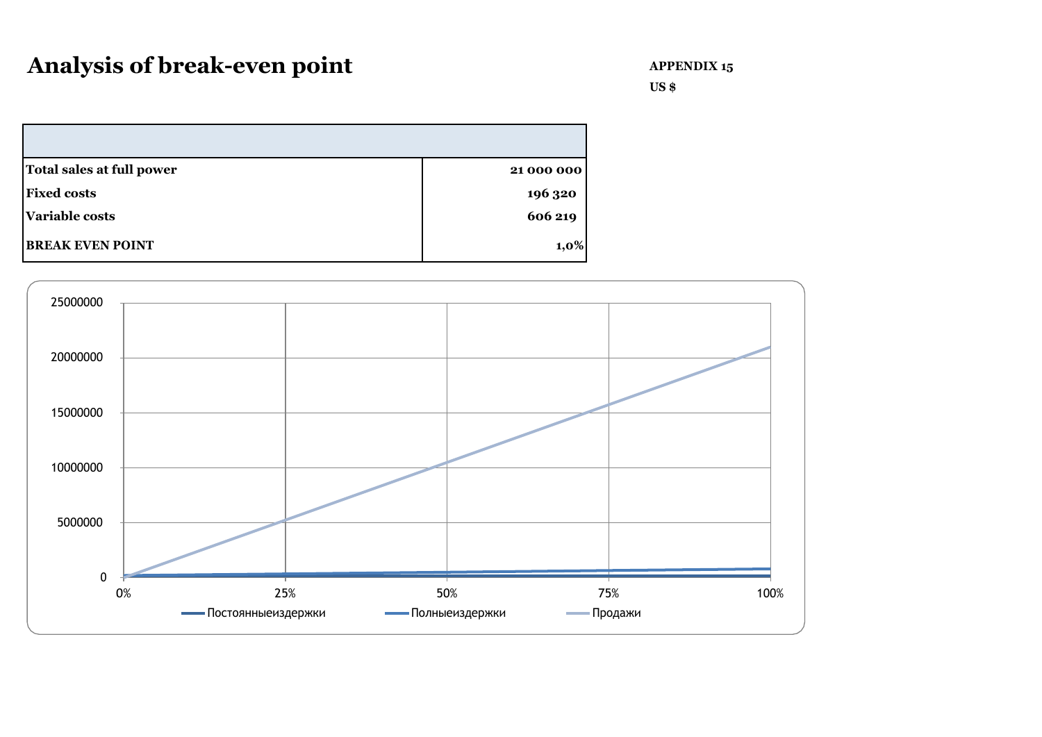**US \$**

| Total sales at full power | 21 000 000 |
|---------------------------|------------|
| <b>Fixed costs</b>        | 196 320    |
| <b>Variable costs</b>     | 606 219    |
| <b>BREAK EVEN POINT</b>   | $1,0\%$    |